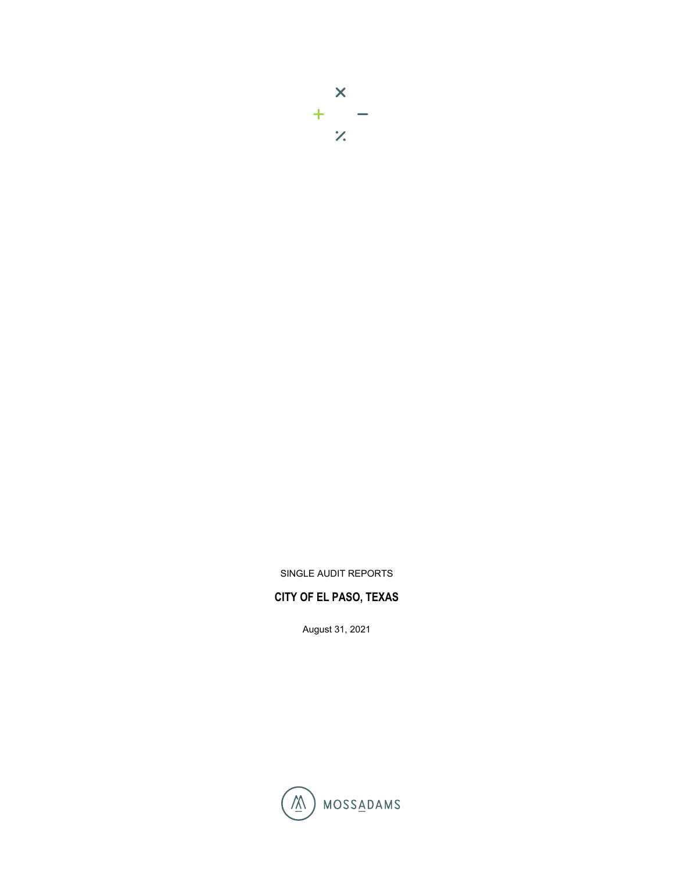# $\mathsf{X}$  $\begin{array}{c} + \\ \hline \end{array}$

SINGLE AUDIT REPORTS

## **CITY OF EL PASO, TEXAS**

August 31, 2021

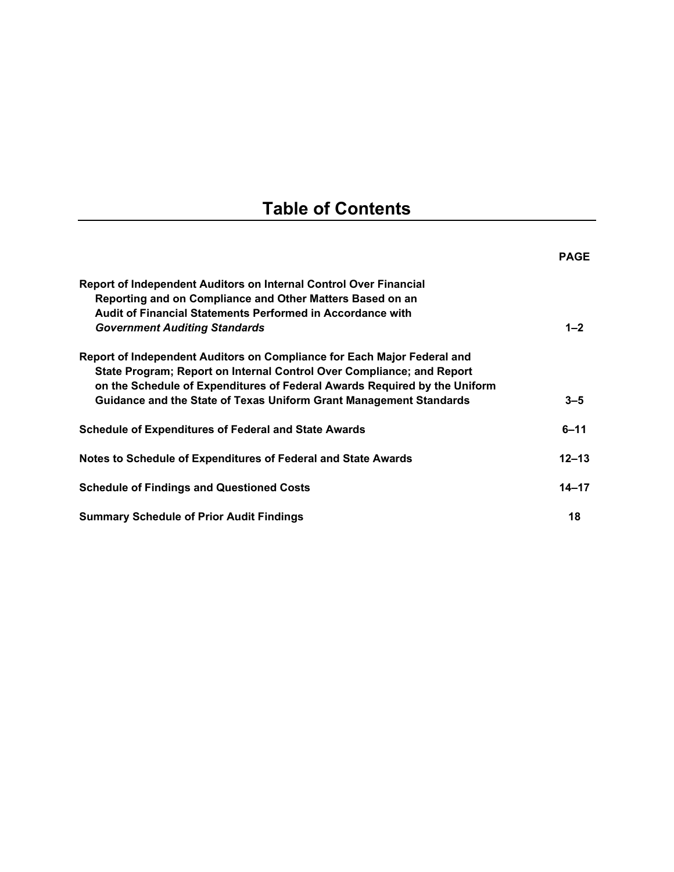## **Table of Contents**

|                                                                                                                                                                                                                                                                                                     | <b>PAGE</b> |
|-----------------------------------------------------------------------------------------------------------------------------------------------------------------------------------------------------------------------------------------------------------------------------------------------------|-------------|
| <b>Report of Independent Auditors on Internal Control Over Financial</b><br>Reporting and on Compliance and Other Matters Based on an<br>Audit of Financial Statements Performed in Accordance with                                                                                                 |             |
| <b>Government Auditing Standards</b>                                                                                                                                                                                                                                                                | $1 - 2$     |
| Report of Independent Auditors on Compliance for Each Major Federal and<br>State Program; Report on Internal Control Over Compliance; and Report<br>on the Schedule of Expenditures of Federal Awards Required by the Uniform<br>Guidance and the State of Texas Uniform Grant Management Standards | $3 - 5$     |
| <b>Schedule of Expenditures of Federal and State Awards</b>                                                                                                                                                                                                                                         | $6 - 11$    |
| Notes to Schedule of Expenditures of Federal and State Awards                                                                                                                                                                                                                                       | $12 - 13$   |
| <b>Schedule of Findings and Questioned Costs</b>                                                                                                                                                                                                                                                    | $14 - 17$   |
| <b>Summary Schedule of Prior Audit Findings</b>                                                                                                                                                                                                                                                     | 18          |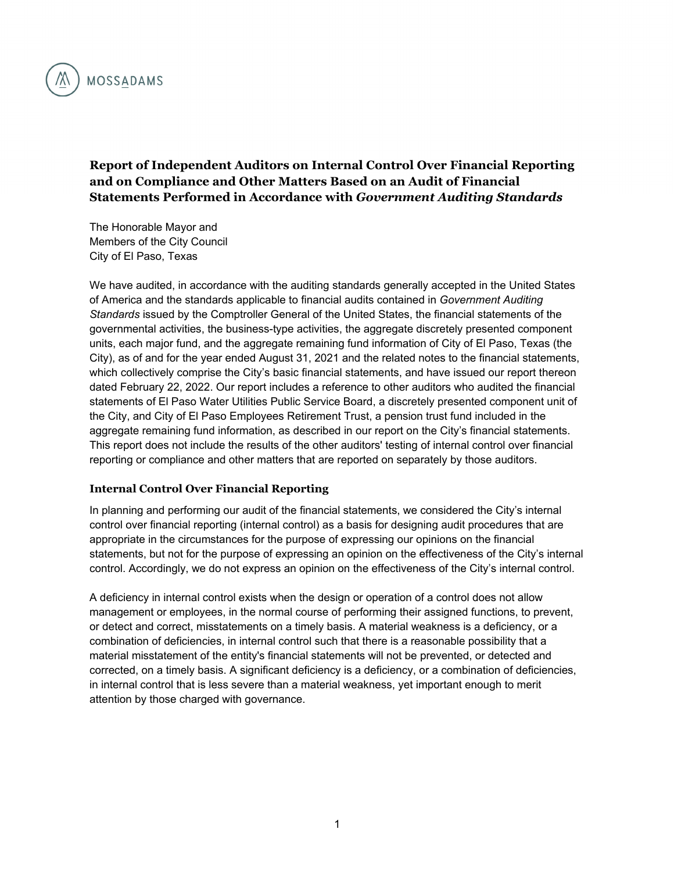

## **Report of Independent Auditors on Internal Control Over Financial Reporting and on Compliance and Other Matters Based on an Audit of Financial Statements Performed in Accordance with** *Government Auditing Standards*

The Honorable Mayor and Members of the City Council City of El Paso, Texas

We have audited, in accordance with the auditing standards generally accepted in the United States of America and the standards applicable to financial audits contained in *Government Auditing Standards* issued by the Comptroller General of the United States, the financial statements of the governmental activities, the business-type activities, the aggregate discretely presented component units, each major fund, and the aggregate remaining fund information of City of El Paso, Texas (the City), as of and for the year ended August 31, 2021 and the related notes to the financial statements, which collectively comprise the City's basic financial statements, and have issued our report thereon dated February 22, 2022. Our report includes a reference to other auditors who audited the financial statements of El Paso Water Utilities Public Service Board, a discretely presented component unit of the City, and City of El Paso Employees Retirement Trust, a pension trust fund included in the aggregate remaining fund information, as described in our report on the City's financial statements. This report does not include the results of the other auditors' testing of internal control over financial reporting or compliance and other matters that are reported on separately by those auditors.

#### **Internal Control Over Financial Reporting**

In planning and performing our audit of the financial statements, we considered the City's internal control over financial reporting (internal control) as a basis for designing audit procedures that are appropriate in the circumstances for the purpose of expressing our opinions on the financial statements, but not for the purpose of expressing an opinion on the effectiveness of the City's internal control. Accordingly, we do not express an opinion on the effectiveness of the City's internal control.

A deficiency in internal control exists when the design or operation of a control does not allow management or employees, in the normal course of performing their assigned functions, to prevent, or detect and correct, misstatements on a timely basis. A material weakness is a deficiency, or a combination of deficiencies, in internal control such that there is a reasonable possibility that a material misstatement of the entity's financial statements will not be prevented, or detected and corrected, on a timely basis. A significant deficiency is a deficiency, or a combination of deficiencies, in internal control that is less severe than a material weakness, yet important enough to merit attention by those charged with governance.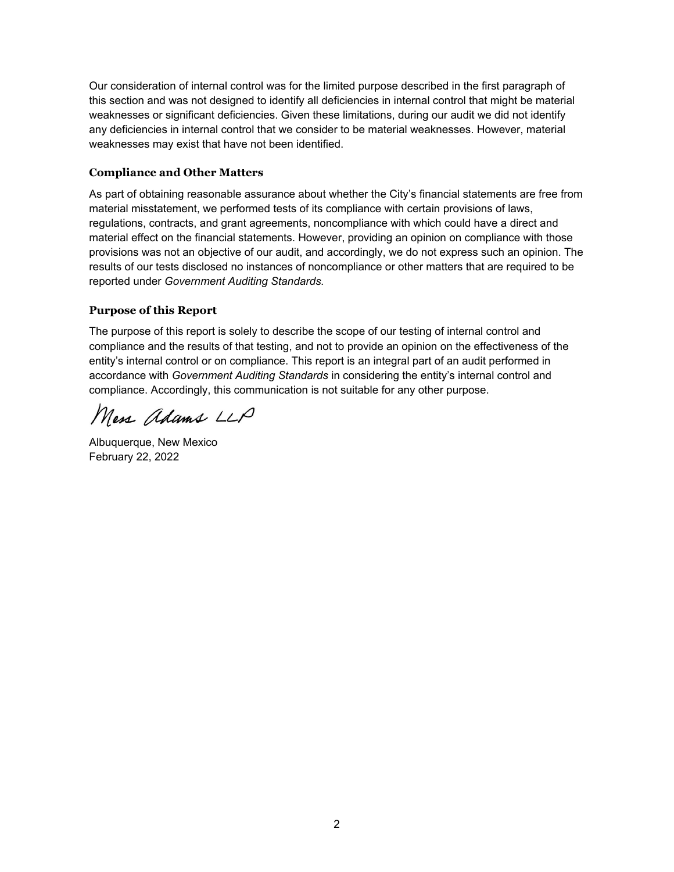Our consideration of internal control was for the limited purpose described in the first paragraph of this section and was not designed to identify all deficiencies in internal control that might be material weaknesses or significant deficiencies. Given these limitations, during our audit we did not identify any deficiencies in internal control that we consider to be material weaknesses. However, material weaknesses may exist that have not been identified.

## **Compliance and Other Matters**

As part of obtaining reasonable assurance about whether the City's financial statements are free from material misstatement, we performed tests of its compliance with certain provisions of laws, regulations, contracts, and grant agreements, noncompliance with which could have a direct and material effect on the financial statements. However, providing an opinion on compliance with those provisions was not an objective of our audit, and accordingly, we do not express such an opinion. The results of our tests disclosed no instances of noncompliance or other matters that are required to be reported under *Government Auditing Standards.*

#### **Purpose of this Report**

The purpose of this report is solely to describe the scope of our testing of internal control and compliance and the results of that testing, and not to provide an opinion on the effectiveness of the entity's internal control or on compliance. This report is an integral part of an audit performed in accordance with *Government Auditing Standards* in considering the entity's internal control and compliance. Accordingly, this communication is not suitable for any other purpose.

Mess adams LLP

Albuquerque, New Mexico February 22, 2022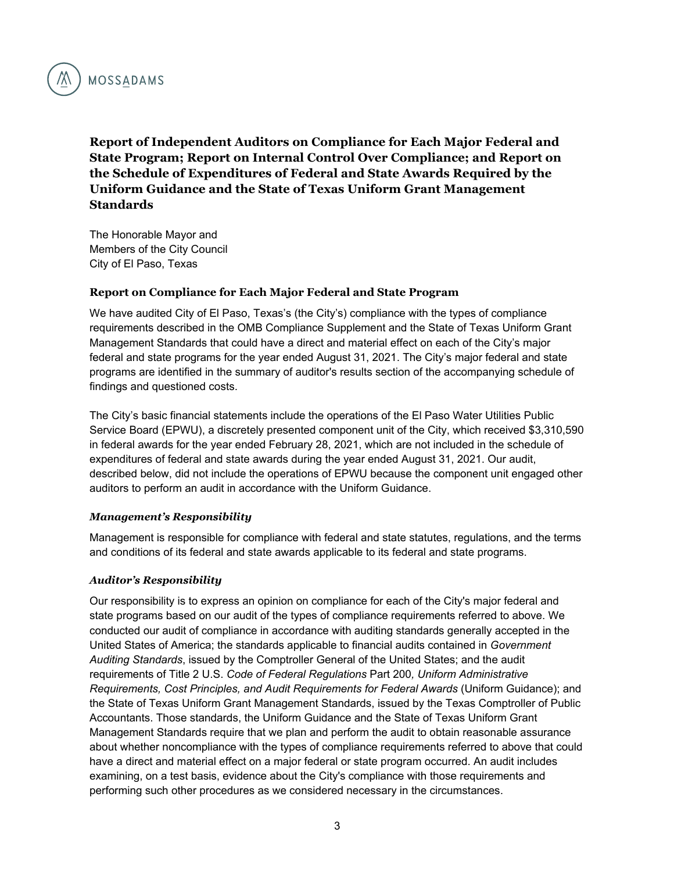

**Report of Independent Auditors on Compliance for Each Major Federal and State Program; Report on Internal Control Over Compliance; and Report on the Schedule of Expenditures of Federal and State Awards Required by the Uniform Guidance and the State of Texas Uniform Grant Management Standards** 

The Honorable Mayor and Members of the City Council City of El Paso, Texas

#### **Report on Compliance for Each Major Federal and State Program**

We have audited City of El Paso, Texas's (the City's) compliance with the types of compliance requirements described in the OMB Compliance Supplement and the State of Texas Uniform Grant Management Standards that could have a direct and material effect on each of the City's major federal and state programs for the year ended August 31, 2021. The City's major federal and state programs are identified in the summary of auditor's results section of the accompanying schedule of findings and questioned costs.

The City's basic financial statements include the operations of the El Paso Water Utilities Public Service Board (EPWU), a discretely presented component unit of the City, which received \$3,310,590 in federal awards for the year ended February 28, 2021, which are not included in the schedule of expenditures of federal and state awards during the year ended August 31, 2021. Our audit, described below, did not include the operations of EPWU because the component unit engaged other auditors to perform an audit in accordance with the Uniform Guidance.

#### *Management's Responsibility*

Management is responsible for compliance with federal and state statutes, regulations, and the terms and conditions of its federal and state awards applicable to its federal and state programs.

#### *Auditor's Responsibility*

Our responsibility is to express an opinion on compliance for each of the City's major federal and state programs based on our audit of the types of compliance requirements referred to above. We conducted our audit of compliance in accordance with auditing standards generally accepted in the United States of America; the standards applicable to financial audits contained in *Government Auditing Standards*, issued by the Comptroller General of the United States; and the audit requirements of Title 2 U.S. *Code of Federal Regulations* Part 200*, Uniform Administrative Requirements, Cost Principles, and Audit Requirements for Federal Awards* (Uniform Guidance); and the State of Texas Uniform Grant Management Standards, issued by the Texas Comptroller of Public Accountants. Those standards, the Uniform Guidance and the State of Texas Uniform Grant Management Standards require that we plan and perform the audit to obtain reasonable assurance about whether noncompliance with the types of compliance requirements referred to above that could have a direct and material effect on a major federal or state program occurred. An audit includes examining, on a test basis, evidence about the City's compliance with those requirements and performing such other procedures as we considered necessary in the circumstances.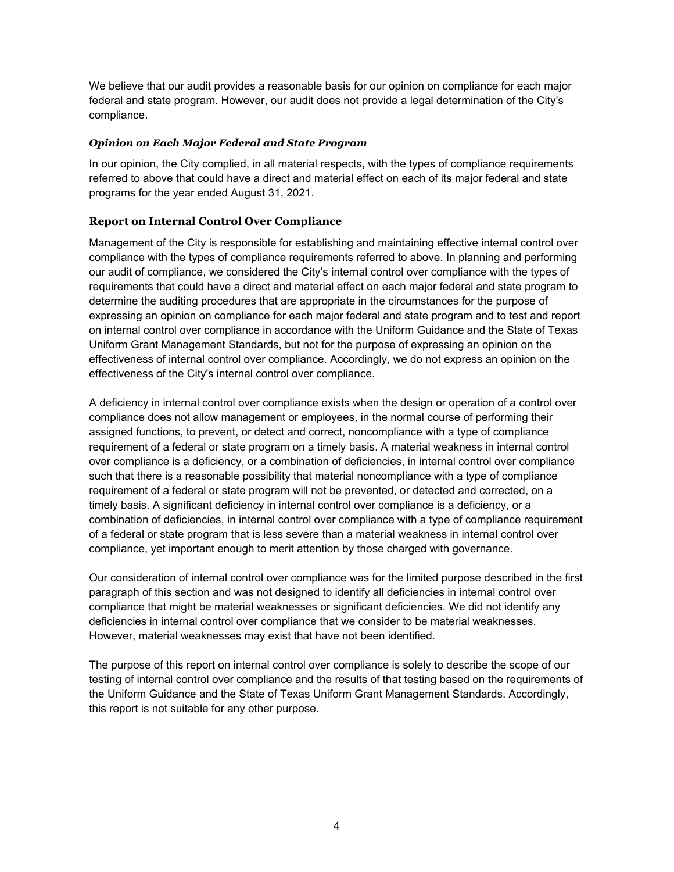We believe that our audit provides a reasonable basis for our opinion on compliance for each major federal and state program. However, our audit does not provide a legal determination of the City's compliance.

#### *Opinion on Each Major Federal and State Program*

In our opinion, the City complied, in all material respects, with the types of compliance requirements referred to above that could have a direct and material effect on each of its major federal and state programs for the year ended August 31, 2021.

### **Report on Internal Control Over Compliance**

Management of the City is responsible for establishing and maintaining effective internal control over compliance with the types of compliance requirements referred to above. In planning and performing our audit of compliance, we considered the City's internal control over compliance with the types of requirements that could have a direct and material effect on each major federal and state program to determine the auditing procedures that are appropriate in the circumstances for the purpose of expressing an opinion on compliance for each major federal and state program and to test and report on internal control over compliance in accordance with the Uniform Guidance and the State of Texas Uniform Grant Management Standards, but not for the purpose of expressing an opinion on the effectiveness of internal control over compliance. Accordingly, we do not express an opinion on the effectiveness of the City's internal control over compliance.

A deficiency in internal control over compliance exists when the design or operation of a control over compliance does not allow management or employees, in the normal course of performing their assigned functions, to prevent, or detect and correct, noncompliance with a type of compliance requirement of a federal or state program on a timely basis. A material weakness in internal control over compliance is a deficiency, or a combination of deficiencies, in internal control over compliance such that there is a reasonable possibility that material noncompliance with a type of compliance requirement of a federal or state program will not be prevented, or detected and corrected, on a timely basis. A significant deficiency in internal control over compliance is a deficiency, or a combination of deficiencies, in internal control over compliance with a type of compliance requirement of a federal or state program that is less severe than a material weakness in internal control over compliance, yet important enough to merit attention by those charged with governance.

Our consideration of internal control over compliance was for the limited purpose described in the first paragraph of this section and was not designed to identify all deficiencies in internal control over compliance that might be material weaknesses or significant deficiencies. We did not identify any deficiencies in internal control over compliance that we consider to be material weaknesses. However, material weaknesses may exist that have not been identified.

The purpose of this report on internal control over compliance is solely to describe the scope of our testing of internal control over compliance and the results of that testing based on the requirements of the Uniform Guidance and the State of Texas Uniform Grant Management Standards. Accordingly, this report is not suitable for any other purpose.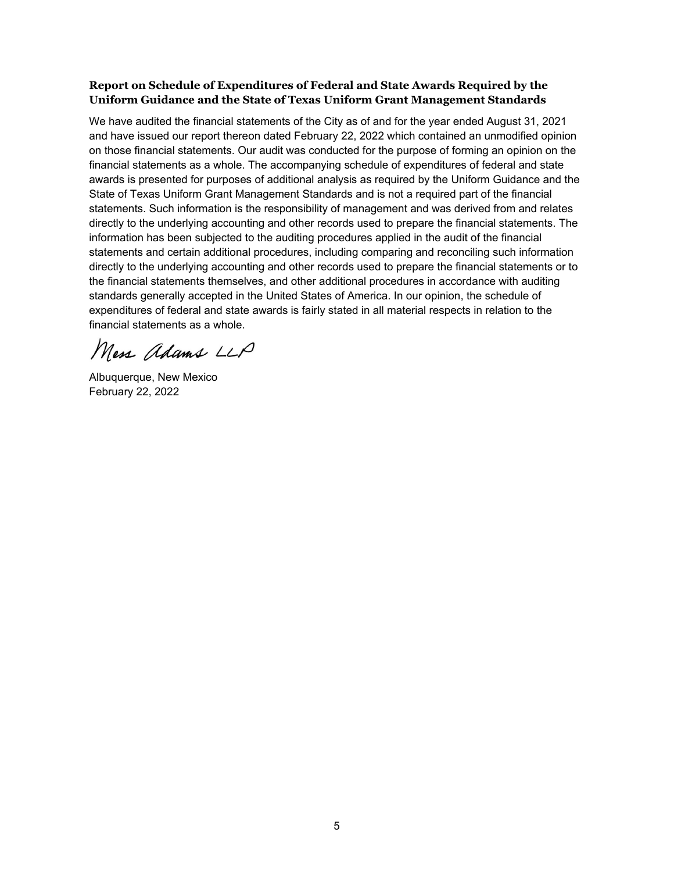## **Report on Schedule of Expenditures of Federal and State Awards Required by the Uniform Guidance and the State of Texas Uniform Grant Management Standards**

We have audited the financial statements of the City as of and for the year ended August 31, 2021 and have issued our report thereon dated February 22, 2022 which contained an unmodified opinion on those financial statements. Our audit was conducted for the purpose of forming an opinion on the financial statements as a whole. The accompanying schedule of expenditures of federal and state awards is presented for purposes of additional analysis as required by the Uniform Guidance and the State of Texas Uniform Grant Management Standards and is not a required part of the financial statements. Such information is the responsibility of management and was derived from and relates directly to the underlying accounting and other records used to prepare the financial statements. The information has been subjected to the auditing procedures applied in the audit of the financial statements and certain additional procedures, including comparing and reconciling such information directly to the underlying accounting and other records used to prepare the financial statements or to the financial statements themselves, and other additional procedures in accordance with auditing standards generally accepted in the United States of America. In our opinion, the schedule of expenditures of federal and state awards is fairly stated in all material respects in relation to the financial statements as a whole.

Mess adams LLP

Albuquerque, New Mexico February 22, 2022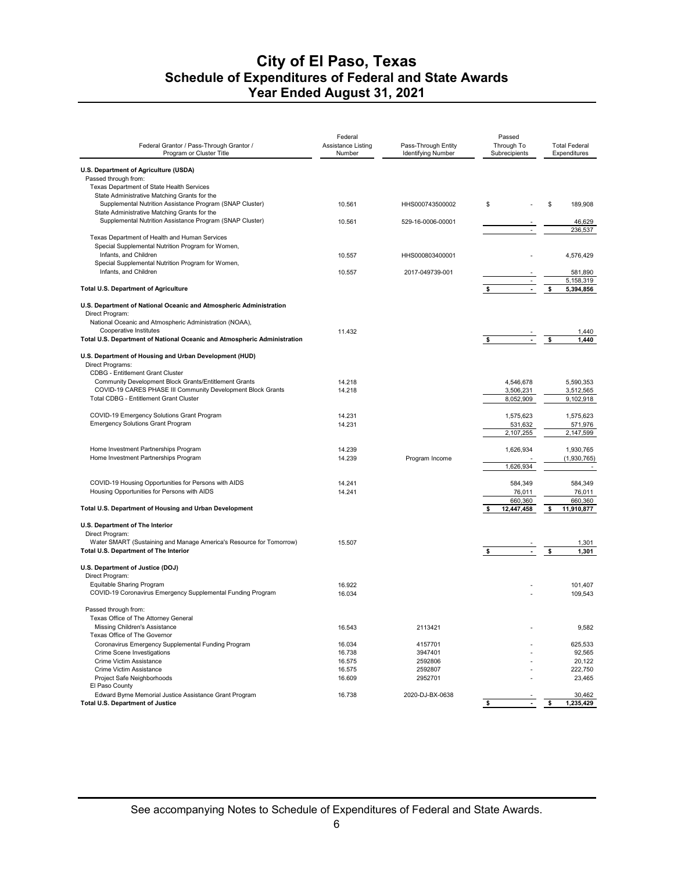| U.S. Department of Agriculture (USDA)<br>Passed through from:<br>Texas Department of State Health Services<br>State Administrative Matching Grants for the<br>Supplemental Nutrition Assistance Program (SNAP Cluster)<br>\$<br>\$<br>189,908<br>10.561<br>HHS000743500002<br>State Administrative Matching Grants for the<br>Supplemental Nutrition Assistance Program (SNAP Cluster)<br>10.561<br>529-16-0006-00001<br>46,629<br>236,537<br>Texas Department of Health and Human Services<br>Special Supplemental Nutrition Program for Women,<br>Infants, and Children<br>10.557<br>4,576,429<br>HHS000803400001<br>Special Supplemental Nutrition Program for Women,<br>Infants, and Children<br>581,890<br>10.557<br>2017-049739-001<br>5,158,319<br><b>Total U.S. Department of Agriculture</b><br>$\mathcal{L}_{\mathcal{A}}$<br>\$<br>5,394,856<br>U.S. Department of National Oceanic and Atmospheric Administration<br>Direct Program:<br>National Oceanic and Atmospheric Administration (NOAA),<br>Cooperative Institutes<br>11.432<br>1,440<br>\$<br>Total U.S. Department of National Oceanic and Atmospheric Administration<br>\$<br>$\blacksquare$<br>1,440<br>U.S. Department of Housing and Urban Development (HUD)<br>Direct Programs:<br><b>CDBG - Entitlement Grant Cluster</b><br>Community Development Block Grants/Entitlement Grants<br>14.218<br>4,546,678<br>5,590,353<br>COVID-19 CARES PHASE III Community Development Block Grants<br>14.218<br>3,506,231<br>3,512,565<br><b>Total CDBG - Entitlement Grant Cluster</b><br>8,052,909<br>9,102,918<br>COVID-19 Emergency Solutions Grant Program<br>14.231<br>1,575,623<br>1.575.623<br><b>Emergency Solutions Grant Program</b><br>14.231<br>531,632<br>571,976<br>2,107,255<br>2,147,599<br>Home Investment Partnerships Program<br>1,930,765<br>14.239<br>1,626,934<br>Home Investment Partnerships Program<br>14.239<br>Program Income<br>(1,930,765)<br>1,626,934<br>$\sim$<br>COVID-19 Housing Opportunities for Persons with AIDS<br>14.241<br>584,349<br>584,349<br>Housing Opportunities for Persons with AIDS<br>14.241<br>76,011<br>76,011<br>660,360<br>660,360<br>Total U.S. Department of Housing and Urban Development<br>\$<br>12,447,458<br>11,910,877<br>\$<br>U.S. Department of The Interior<br>Direct Program:<br>Water SMART (Sustaining and Manage America's Resource for Tomorrow)<br>15.507<br>1,301<br>Total U.S. Department of The Interior<br>\$<br>\$<br>$\blacksquare$<br>1,301<br>U.S. Department of Justice (DOJ)<br>Direct Program:<br>Equitable Sharing Program<br>16.922<br>101,407<br>COVID-19 Coronavirus Emergency Supplemental Funding Program<br>16.034<br>109,543<br>Passed through from:<br>Texas Office of The Attorney General<br>Missing Children's Assistance<br>2113421<br>9,582<br>16.543<br>Texas Office of The Governor<br>Coronavirus Emergency Supplemental Funding Program<br>16.034<br>4157701<br>625,533<br>3947401<br>Crime Scene Investigations<br>16.738<br>92,565<br>Crime Victim Assistance<br>16.575<br>2592806<br>20,122<br>Crime Victim Assistance<br>16.575<br>2592807<br>222,750<br>Project Safe Neighborhoods<br>16.609<br>2952701<br>23,465<br>El Paso County<br>Edward Byrne Memorial Justice Assistance Grant Program<br>30,462<br>16.738<br>2020-DJ-BX-0638<br><b>Total U.S. Department of Justice</b><br>\$<br>\$<br>1,235,429 | Federal Grantor / Pass-Through Grantor /<br>Program or Cluster Title | Federal<br><b>Assistance Listing</b><br>Number | Pass-Through Entity<br><b>Identifying Number</b> | Passed<br>Through To<br>Subrecipients | <b>Total Federal</b><br>Expenditures |
|------------------------------------------------------------------------------------------------------------------------------------------------------------------------------------------------------------------------------------------------------------------------------------------------------------------------------------------------------------------------------------------------------------------------------------------------------------------------------------------------------------------------------------------------------------------------------------------------------------------------------------------------------------------------------------------------------------------------------------------------------------------------------------------------------------------------------------------------------------------------------------------------------------------------------------------------------------------------------------------------------------------------------------------------------------------------------------------------------------------------------------------------------------------------------------------------------------------------------------------------------------------------------------------------------------------------------------------------------------------------------------------------------------------------------------------------------------------------------------------------------------------------------------------------------------------------------------------------------------------------------------------------------------------------------------------------------------------------------------------------------------------------------------------------------------------------------------------------------------------------------------------------------------------------------------------------------------------------------------------------------------------------------------------------------------------------------------------------------------------------------------------------------------------------------------------------------------------------------------------------------------------------------------------------------------------------------------------------------------------------------------------------------------------------------------------------------------------------------------------------------------------------------------------------------------------------------------------------------------------------------------------------------------------------------------------------------------------------------------------------------------------------------------------------------------------------------------------------------------------------------------------------------------------------------------------------------------------------------------------------------------------------------------------------------------------------------------------------------------------------------------------------------------------------------------------------------------------------------------------------------------------------------------------------------------------------------------------------------------------------------------|----------------------------------------------------------------------|------------------------------------------------|--------------------------------------------------|---------------------------------------|--------------------------------------|
|                                                                                                                                                                                                                                                                                                                                                                                                                                                                                                                                                                                                                                                                                                                                                                                                                                                                                                                                                                                                                                                                                                                                                                                                                                                                                                                                                                                                                                                                                                                                                                                                                                                                                                                                                                                                                                                                                                                                                                                                                                                                                                                                                                                                                                                                                                                                                                                                                                                                                                                                                                                                                                                                                                                                                                                                                                                                                                                                                                                                                                                                                                                                                                                                                                                                                                                                                                                    |                                                                      |                                                |                                                  |                                       |                                      |
|                                                                                                                                                                                                                                                                                                                                                                                                                                                                                                                                                                                                                                                                                                                                                                                                                                                                                                                                                                                                                                                                                                                                                                                                                                                                                                                                                                                                                                                                                                                                                                                                                                                                                                                                                                                                                                                                                                                                                                                                                                                                                                                                                                                                                                                                                                                                                                                                                                                                                                                                                                                                                                                                                                                                                                                                                                                                                                                                                                                                                                                                                                                                                                                                                                                                                                                                                                                    |                                                                      |                                                |                                                  |                                       |                                      |
|                                                                                                                                                                                                                                                                                                                                                                                                                                                                                                                                                                                                                                                                                                                                                                                                                                                                                                                                                                                                                                                                                                                                                                                                                                                                                                                                                                                                                                                                                                                                                                                                                                                                                                                                                                                                                                                                                                                                                                                                                                                                                                                                                                                                                                                                                                                                                                                                                                                                                                                                                                                                                                                                                                                                                                                                                                                                                                                                                                                                                                                                                                                                                                                                                                                                                                                                                                                    |                                                                      |                                                |                                                  |                                       |                                      |
|                                                                                                                                                                                                                                                                                                                                                                                                                                                                                                                                                                                                                                                                                                                                                                                                                                                                                                                                                                                                                                                                                                                                                                                                                                                                                                                                                                                                                                                                                                                                                                                                                                                                                                                                                                                                                                                                                                                                                                                                                                                                                                                                                                                                                                                                                                                                                                                                                                                                                                                                                                                                                                                                                                                                                                                                                                                                                                                                                                                                                                                                                                                                                                                                                                                                                                                                                                                    |                                                                      |                                                |                                                  |                                       |                                      |
|                                                                                                                                                                                                                                                                                                                                                                                                                                                                                                                                                                                                                                                                                                                                                                                                                                                                                                                                                                                                                                                                                                                                                                                                                                                                                                                                                                                                                                                                                                                                                                                                                                                                                                                                                                                                                                                                                                                                                                                                                                                                                                                                                                                                                                                                                                                                                                                                                                                                                                                                                                                                                                                                                                                                                                                                                                                                                                                                                                                                                                                                                                                                                                                                                                                                                                                                                                                    |                                                                      |                                                |                                                  |                                       |                                      |
|                                                                                                                                                                                                                                                                                                                                                                                                                                                                                                                                                                                                                                                                                                                                                                                                                                                                                                                                                                                                                                                                                                                                                                                                                                                                                                                                                                                                                                                                                                                                                                                                                                                                                                                                                                                                                                                                                                                                                                                                                                                                                                                                                                                                                                                                                                                                                                                                                                                                                                                                                                                                                                                                                                                                                                                                                                                                                                                                                                                                                                                                                                                                                                                                                                                                                                                                                                                    |                                                                      |                                                |                                                  |                                       |                                      |
|                                                                                                                                                                                                                                                                                                                                                                                                                                                                                                                                                                                                                                                                                                                                                                                                                                                                                                                                                                                                                                                                                                                                                                                                                                                                                                                                                                                                                                                                                                                                                                                                                                                                                                                                                                                                                                                                                                                                                                                                                                                                                                                                                                                                                                                                                                                                                                                                                                                                                                                                                                                                                                                                                                                                                                                                                                                                                                                                                                                                                                                                                                                                                                                                                                                                                                                                                                                    |                                                                      |                                                |                                                  |                                       |                                      |
|                                                                                                                                                                                                                                                                                                                                                                                                                                                                                                                                                                                                                                                                                                                                                                                                                                                                                                                                                                                                                                                                                                                                                                                                                                                                                                                                                                                                                                                                                                                                                                                                                                                                                                                                                                                                                                                                                                                                                                                                                                                                                                                                                                                                                                                                                                                                                                                                                                                                                                                                                                                                                                                                                                                                                                                                                                                                                                                                                                                                                                                                                                                                                                                                                                                                                                                                                                                    |                                                                      |                                                |                                                  |                                       |                                      |
|                                                                                                                                                                                                                                                                                                                                                                                                                                                                                                                                                                                                                                                                                                                                                                                                                                                                                                                                                                                                                                                                                                                                                                                                                                                                                                                                                                                                                                                                                                                                                                                                                                                                                                                                                                                                                                                                                                                                                                                                                                                                                                                                                                                                                                                                                                                                                                                                                                                                                                                                                                                                                                                                                                                                                                                                                                                                                                                                                                                                                                                                                                                                                                                                                                                                                                                                                                                    |                                                                      |                                                |                                                  |                                       |                                      |
|                                                                                                                                                                                                                                                                                                                                                                                                                                                                                                                                                                                                                                                                                                                                                                                                                                                                                                                                                                                                                                                                                                                                                                                                                                                                                                                                                                                                                                                                                                                                                                                                                                                                                                                                                                                                                                                                                                                                                                                                                                                                                                                                                                                                                                                                                                                                                                                                                                                                                                                                                                                                                                                                                                                                                                                                                                                                                                                                                                                                                                                                                                                                                                                                                                                                                                                                                                                    |                                                                      |                                                |                                                  |                                       |                                      |
|                                                                                                                                                                                                                                                                                                                                                                                                                                                                                                                                                                                                                                                                                                                                                                                                                                                                                                                                                                                                                                                                                                                                                                                                                                                                                                                                                                                                                                                                                                                                                                                                                                                                                                                                                                                                                                                                                                                                                                                                                                                                                                                                                                                                                                                                                                                                                                                                                                                                                                                                                                                                                                                                                                                                                                                                                                                                                                                                                                                                                                                                                                                                                                                                                                                                                                                                                                                    |                                                                      |                                                |                                                  |                                       |                                      |
|                                                                                                                                                                                                                                                                                                                                                                                                                                                                                                                                                                                                                                                                                                                                                                                                                                                                                                                                                                                                                                                                                                                                                                                                                                                                                                                                                                                                                                                                                                                                                                                                                                                                                                                                                                                                                                                                                                                                                                                                                                                                                                                                                                                                                                                                                                                                                                                                                                                                                                                                                                                                                                                                                                                                                                                                                                                                                                                                                                                                                                                                                                                                                                                                                                                                                                                                                                                    |                                                                      |                                                |                                                  |                                       |                                      |
|                                                                                                                                                                                                                                                                                                                                                                                                                                                                                                                                                                                                                                                                                                                                                                                                                                                                                                                                                                                                                                                                                                                                                                                                                                                                                                                                                                                                                                                                                                                                                                                                                                                                                                                                                                                                                                                                                                                                                                                                                                                                                                                                                                                                                                                                                                                                                                                                                                                                                                                                                                                                                                                                                                                                                                                                                                                                                                                                                                                                                                                                                                                                                                                                                                                                                                                                                                                    |                                                                      |                                                |                                                  |                                       |                                      |
|                                                                                                                                                                                                                                                                                                                                                                                                                                                                                                                                                                                                                                                                                                                                                                                                                                                                                                                                                                                                                                                                                                                                                                                                                                                                                                                                                                                                                                                                                                                                                                                                                                                                                                                                                                                                                                                                                                                                                                                                                                                                                                                                                                                                                                                                                                                                                                                                                                                                                                                                                                                                                                                                                                                                                                                                                                                                                                                                                                                                                                                                                                                                                                                                                                                                                                                                                                                    |                                                                      |                                                |                                                  |                                       |                                      |
|                                                                                                                                                                                                                                                                                                                                                                                                                                                                                                                                                                                                                                                                                                                                                                                                                                                                                                                                                                                                                                                                                                                                                                                                                                                                                                                                                                                                                                                                                                                                                                                                                                                                                                                                                                                                                                                                                                                                                                                                                                                                                                                                                                                                                                                                                                                                                                                                                                                                                                                                                                                                                                                                                                                                                                                                                                                                                                                                                                                                                                                                                                                                                                                                                                                                                                                                                                                    |                                                                      |                                                |                                                  |                                       |                                      |
|                                                                                                                                                                                                                                                                                                                                                                                                                                                                                                                                                                                                                                                                                                                                                                                                                                                                                                                                                                                                                                                                                                                                                                                                                                                                                                                                                                                                                                                                                                                                                                                                                                                                                                                                                                                                                                                                                                                                                                                                                                                                                                                                                                                                                                                                                                                                                                                                                                                                                                                                                                                                                                                                                                                                                                                                                                                                                                                                                                                                                                                                                                                                                                                                                                                                                                                                                                                    |                                                                      |                                                |                                                  |                                       |                                      |
|                                                                                                                                                                                                                                                                                                                                                                                                                                                                                                                                                                                                                                                                                                                                                                                                                                                                                                                                                                                                                                                                                                                                                                                                                                                                                                                                                                                                                                                                                                                                                                                                                                                                                                                                                                                                                                                                                                                                                                                                                                                                                                                                                                                                                                                                                                                                                                                                                                                                                                                                                                                                                                                                                                                                                                                                                                                                                                                                                                                                                                                                                                                                                                                                                                                                                                                                                                                    |                                                                      |                                                |                                                  |                                       |                                      |
|                                                                                                                                                                                                                                                                                                                                                                                                                                                                                                                                                                                                                                                                                                                                                                                                                                                                                                                                                                                                                                                                                                                                                                                                                                                                                                                                                                                                                                                                                                                                                                                                                                                                                                                                                                                                                                                                                                                                                                                                                                                                                                                                                                                                                                                                                                                                                                                                                                                                                                                                                                                                                                                                                                                                                                                                                                                                                                                                                                                                                                                                                                                                                                                                                                                                                                                                                                                    |                                                                      |                                                |                                                  |                                       |                                      |
|                                                                                                                                                                                                                                                                                                                                                                                                                                                                                                                                                                                                                                                                                                                                                                                                                                                                                                                                                                                                                                                                                                                                                                                                                                                                                                                                                                                                                                                                                                                                                                                                                                                                                                                                                                                                                                                                                                                                                                                                                                                                                                                                                                                                                                                                                                                                                                                                                                                                                                                                                                                                                                                                                                                                                                                                                                                                                                                                                                                                                                                                                                                                                                                                                                                                                                                                                                                    |                                                                      |                                                |                                                  |                                       |                                      |
|                                                                                                                                                                                                                                                                                                                                                                                                                                                                                                                                                                                                                                                                                                                                                                                                                                                                                                                                                                                                                                                                                                                                                                                                                                                                                                                                                                                                                                                                                                                                                                                                                                                                                                                                                                                                                                                                                                                                                                                                                                                                                                                                                                                                                                                                                                                                                                                                                                                                                                                                                                                                                                                                                                                                                                                                                                                                                                                                                                                                                                                                                                                                                                                                                                                                                                                                                                                    |                                                                      |                                                |                                                  |                                       |                                      |
|                                                                                                                                                                                                                                                                                                                                                                                                                                                                                                                                                                                                                                                                                                                                                                                                                                                                                                                                                                                                                                                                                                                                                                                                                                                                                                                                                                                                                                                                                                                                                                                                                                                                                                                                                                                                                                                                                                                                                                                                                                                                                                                                                                                                                                                                                                                                                                                                                                                                                                                                                                                                                                                                                                                                                                                                                                                                                                                                                                                                                                                                                                                                                                                                                                                                                                                                                                                    |                                                                      |                                                |                                                  |                                       |                                      |
|                                                                                                                                                                                                                                                                                                                                                                                                                                                                                                                                                                                                                                                                                                                                                                                                                                                                                                                                                                                                                                                                                                                                                                                                                                                                                                                                                                                                                                                                                                                                                                                                                                                                                                                                                                                                                                                                                                                                                                                                                                                                                                                                                                                                                                                                                                                                                                                                                                                                                                                                                                                                                                                                                                                                                                                                                                                                                                                                                                                                                                                                                                                                                                                                                                                                                                                                                                                    |                                                                      |                                                |                                                  |                                       |                                      |
|                                                                                                                                                                                                                                                                                                                                                                                                                                                                                                                                                                                                                                                                                                                                                                                                                                                                                                                                                                                                                                                                                                                                                                                                                                                                                                                                                                                                                                                                                                                                                                                                                                                                                                                                                                                                                                                                                                                                                                                                                                                                                                                                                                                                                                                                                                                                                                                                                                                                                                                                                                                                                                                                                                                                                                                                                                                                                                                                                                                                                                                                                                                                                                                                                                                                                                                                                                                    |                                                                      |                                                |                                                  |                                       |                                      |
|                                                                                                                                                                                                                                                                                                                                                                                                                                                                                                                                                                                                                                                                                                                                                                                                                                                                                                                                                                                                                                                                                                                                                                                                                                                                                                                                                                                                                                                                                                                                                                                                                                                                                                                                                                                                                                                                                                                                                                                                                                                                                                                                                                                                                                                                                                                                                                                                                                                                                                                                                                                                                                                                                                                                                                                                                                                                                                                                                                                                                                                                                                                                                                                                                                                                                                                                                                                    |                                                                      |                                                |                                                  |                                       |                                      |
|                                                                                                                                                                                                                                                                                                                                                                                                                                                                                                                                                                                                                                                                                                                                                                                                                                                                                                                                                                                                                                                                                                                                                                                                                                                                                                                                                                                                                                                                                                                                                                                                                                                                                                                                                                                                                                                                                                                                                                                                                                                                                                                                                                                                                                                                                                                                                                                                                                                                                                                                                                                                                                                                                                                                                                                                                                                                                                                                                                                                                                                                                                                                                                                                                                                                                                                                                                                    |                                                                      |                                                |                                                  |                                       |                                      |
|                                                                                                                                                                                                                                                                                                                                                                                                                                                                                                                                                                                                                                                                                                                                                                                                                                                                                                                                                                                                                                                                                                                                                                                                                                                                                                                                                                                                                                                                                                                                                                                                                                                                                                                                                                                                                                                                                                                                                                                                                                                                                                                                                                                                                                                                                                                                                                                                                                                                                                                                                                                                                                                                                                                                                                                                                                                                                                                                                                                                                                                                                                                                                                                                                                                                                                                                                                                    |                                                                      |                                                |                                                  |                                       |                                      |
|                                                                                                                                                                                                                                                                                                                                                                                                                                                                                                                                                                                                                                                                                                                                                                                                                                                                                                                                                                                                                                                                                                                                                                                                                                                                                                                                                                                                                                                                                                                                                                                                                                                                                                                                                                                                                                                                                                                                                                                                                                                                                                                                                                                                                                                                                                                                                                                                                                                                                                                                                                                                                                                                                                                                                                                                                                                                                                                                                                                                                                                                                                                                                                                                                                                                                                                                                                                    |                                                                      |                                                |                                                  |                                       |                                      |
|                                                                                                                                                                                                                                                                                                                                                                                                                                                                                                                                                                                                                                                                                                                                                                                                                                                                                                                                                                                                                                                                                                                                                                                                                                                                                                                                                                                                                                                                                                                                                                                                                                                                                                                                                                                                                                                                                                                                                                                                                                                                                                                                                                                                                                                                                                                                                                                                                                                                                                                                                                                                                                                                                                                                                                                                                                                                                                                                                                                                                                                                                                                                                                                                                                                                                                                                                                                    |                                                                      |                                                |                                                  |                                       |                                      |
|                                                                                                                                                                                                                                                                                                                                                                                                                                                                                                                                                                                                                                                                                                                                                                                                                                                                                                                                                                                                                                                                                                                                                                                                                                                                                                                                                                                                                                                                                                                                                                                                                                                                                                                                                                                                                                                                                                                                                                                                                                                                                                                                                                                                                                                                                                                                                                                                                                                                                                                                                                                                                                                                                                                                                                                                                                                                                                                                                                                                                                                                                                                                                                                                                                                                                                                                                                                    |                                                                      |                                                |                                                  |                                       |                                      |
|                                                                                                                                                                                                                                                                                                                                                                                                                                                                                                                                                                                                                                                                                                                                                                                                                                                                                                                                                                                                                                                                                                                                                                                                                                                                                                                                                                                                                                                                                                                                                                                                                                                                                                                                                                                                                                                                                                                                                                                                                                                                                                                                                                                                                                                                                                                                                                                                                                                                                                                                                                                                                                                                                                                                                                                                                                                                                                                                                                                                                                                                                                                                                                                                                                                                                                                                                                                    |                                                                      |                                                |                                                  |                                       |                                      |
|                                                                                                                                                                                                                                                                                                                                                                                                                                                                                                                                                                                                                                                                                                                                                                                                                                                                                                                                                                                                                                                                                                                                                                                                                                                                                                                                                                                                                                                                                                                                                                                                                                                                                                                                                                                                                                                                                                                                                                                                                                                                                                                                                                                                                                                                                                                                                                                                                                                                                                                                                                                                                                                                                                                                                                                                                                                                                                                                                                                                                                                                                                                                                                                                                                                                                                                                                                                    |                                                                      |                                                |                                                  |                                       |                                      |
|                                                                                                                                                                                                                                                                                                                                                                                                                                                                                                                                                                                                                                                                                                                                                                                                                                                                                                                                                                                                                                                                                                                                                                                                                                                                                                                                                                                                                                                                                                                                                                                                                                                                                                                                                                                                                                                                                                                                                                                                                                                                                                                                                                                                                                                                                                                                                                                                                                                                                                                                                                                                                                                                                                                                                                                                                                                                                                                                                                                                                                                                                                                                                                                                                                                                                                                                                                                    |                                                                      |                                                |                                                  |                                       |                                      |
|                                                                                                                                                                                                                                                                                                                                                                                                                                                                                                                                                                                                                                                                                                                                                                                                                                                                                                                                                                                                                                                                                                                                                                                                                                                                                                                                                                                                                                                                                                                                                                                                                                                                                                                                                                                                                                                                                                                                                                                                                                                                                                                                                                                                                                                                                                                                                                                                                                                                                                                                                                                                                                                                                                                                                                                                                                                                                                                                                                                                                                                                                                                                                                                                                                                                                                                                                                                    |                                                                      |                                                |                                                  |                                       |                                      |
|                                                                                                                                                                                                                                                                                                                                                                                                                                                                                                                                                                                                                                                                                                                                                                                                                                                                                                                                                                                                                                                                                                                                                                                                                                                                                                                                                                                                                                                                                                                                                                                                                                                                                                                                                                                                                                                                                                                                                                                                                                                                                                                                                                                                                                                                                                                                                                                                                                                                                                                                                                                                                                                                                                                                                                                                                                                                                                                                                                                                                                                                                                                                                                                                                                                                                                                                                                                    |                                                                      |                                                |                                                  |                                       |                                      |
|                                                                                                                                                                                                                                                                                                                                                                                                                                                                                                                                                                                                                                                                                                                                                                                                                                                                                                                                                                                                                                                                                                                                                                                                                                                                                                                                                                                                                                                                                                                                                                                                                                                                                                                                                                                                                                                                                                                                                                                                                                                                                                                                                                                                                                                                                                                                                                                                                                                                                                                                                                                                                                                                                                                                                                                                                                                                                                                                                                                                                                                                                                                                                                                                                                                                                                                                                                                    |                                                                      |                                                |                                                  |                                       |                                      |
|                                                                                                                                                                                                                                                                                                                                                                                                                                                                                                                                                                                                                                                                                                                                                                                                                                                                                                                                                                                                                                                                                                                                                                                                                                                                                                                                                                                                                                                                                                                                                                                                                                                                                                                                                                                                                                                                                                                                                                                                                                                                                                                                                                                                                                                                                                                                                                                                                                                                                                                                                                                                                                                                                                                                                                                                                                                                                                                                                                                                                                                                                                                                                                                                                                                                                                                                                                                    |                                                                      |                                                |                                                  |                                       |                                      |
|                                                                                                                                                                                                                                                                                                                                                                                                                                                                                                                                                                                                                                                                                                                                                                                                                                                                                                                                                                                                                                                                                                                                                                                                                                                                                                                                                                                                                                                                                                                                                                                                                                                                                                                                                                                                                                                                                                                                                                                                                                                                                                                                                                                                                                                                                                                                                                                                                                                                                                                                                                                                                                                                                                                                                                                                                                                                                                                                                                                                                                                                                                                                                                                                                                                                                                                                                                                    |                                                                      |                                                |                                                  |                                       |                                      |
|                                                                                                                                                                                                                                                                                                                                                                                                                                                                                                                                                                                                                                                                                                                                                                                                                                                                                                                                                                                                                                                                                                                                                                                                                                                                                                                                                                                                                                                                                                                                                                                                                                                                                                                                                                                                                                                                                                                                                                                                                                                                                                                                                                                                                                                                                                                                                                                                                                                                                                                                                                                                                                                                                                                                                                                                                                                                                                                                                                                                                                                                                                                                                                                                                                                                                                                                                                                    |                                                                      |                                                |                                                  |                                       |                                      |
|                                                                                                                                                                                                                                                                                                                                                                                                                                                                                                                                                                                                                                                                                                                                                                                                                                                                                                                                                                                                                                                                                                                                                                                                                                                                                                                                                                                                                                                                                                                                                                                                                                                                                                                                                                                                                                                                                                                                                                                                                                                                                                                                                                                                                                                                                                                                                                                                                                                                                                                                                                                                                                                                                                                                                                                                                                                                                                                                                                                                                                                                                                                                                                                                                                                                                                                                                                                    |                                                                      |                                                |                                                  |                                       |                                      |
|                                                                                                                                                                                                                                                                                                                                                                                                                                                                                                                                                                                                                                                                                                                                                                                                                                                                                                                                                                                                                                                                                                                                                                                                                                                                                                                                                                                                                                                                                                                                                                                                                                                                                                                                                                                                                                                                                                                                                                                                                                                                                                                                                                                                                                                                                                                                                                                                                                                                                                                                                                                                                                                                                                                                                                                                                                                                                                                                                                                                                                                                                                                                                                                                                                                                                                                                                                                    |                                                                      |                                                |                                                  |                                       |                                      |
|                                                                                                                                                                                                                                                                                                                                                                                                                                                                                                                                                                                                                                                                                                                                                                                                                                                                                                                                                                                                                                                                                                                                                                                                                                                                                                                                                                                                                                                                                                                                                                                                                                                                                                                                                                                                                                                                                                                                                                                                                                                                                                                                                                                                                                                                                                                                                                                                                                                                                                                                                                                                                                                                                                                                                                                                                                                                                                                                                                                                                                                                                                                                                                                                                                                                                                                                                                                    |                                                                      |                                                |                                                  |                                       |                                      |
|                                                                                                                                                                                                                                                                                                                                                                                                                                                                                                                                                                                                                                                                                                                                                                                                                                                                                                                                                                                                                                                                                                                                                                                                                                                                                                                                                                                                                                                                                                                                                                                                                                                                                                                                                                                                                                                                                                                                                                                                                                                                                                                                                                                                                                                                                                                                                                                                                                                                                                                                                                                                                                                                                                                                                                                                                                                                                                                                                                                                                                                                                                                                                                                                                                                                                                                                                                                    |                                                                      |                                                |                                                  |                                       |                                      |
|                                                                                                                                                                                                                                                                                                                                                                                                                                                                                                                                                                                                                                                                                                                                                                                                                                                                                                                                                                                                                                                                                                                                                                                                                                                                                                                                                                                                                                                                                                                                                                                                                                                                                                                                                                                                                                                                                                                                                                                                                                                                                                                                                                                                                                                                                                                                                                                                                                                                                                                                                                                                                                                                                                                                                                                                                                                                                                                                                                                                                                                                                                                                                                                                                                                                                                                                                                                    |                                                                      |                                                |                                                  |                                       |                                      |
|                                                                                                                                                                                                                                                                                                                                                                                                                                                                                                                                                                                                                                                                                                                                                                                                                                                                                                                                                                                                                                                                                                                                                                                                                                                                                                                                                                                                                                                                                                                                                                                                                                                                                                                                                                                                                                                                                                                                                                                                                                                                                                                                                                                                                                                                                                                                                                                                                                                                                                                                                                                                                                                                                                                                                                                                                                                                                                                                                                                                                                                                                                                                                                                                                                                                                                                                                                                    |                                                                      |                                                |                                                  |                                       |                                      |
|                                                                                                                                                                                                                                                                                                                                                                                                                                                                                                                                                                                                                                                                                                                                                                                                                                                                                                                                                                                                                                                                                                                                                                                                                                                                                                                                                                                                                                                                                                                                                                                                                                                                                                                                                                                                                                                                                                                                                                                                                                                                                                                                                                                                                                                                                                                                                                                                                                                                                                                                                                                                                                                                                                                                                                                                                                                                                                                                                                                                                                                                                                                                                                                                                                                                                                                                                                                    |                                                                      |                                                |                                                  |                                       |                                      |
|                                                                                                                                                                                                                                                                                                                                                                                                                                                                                                                                                                                                                                                                                                                                                                                                                                                                                                                                                                                                                                                                                                                                                                                                                                                                                                                                                                                                                                                                                                                                                                                                                                                                                                                                                                                                                                                                                                                                                                                                                                                                                                                                                                                                                                                                                                                                                                                                                                                                                                                                                                                                                                                                                                                                                                                                                                                                                                                                                                                                                                                                                                                                                                                                                                                                                                                                                                                    |                                                                      |                                                |                                                  |                                       |                                      |
|                                                                                                                                                                                                                                                                                                                                                                                                                                                                                                                                                                                                                                                                                                                                                                                                                                                                                                                                                                                                                                                                                                                                                                                                                                                                                                                                                                                                                                                                                                                                                                                                                                                                                                                                                                                                                                                                                                                                                                                                                                                                                                                                                                                                                                                                                                                                                                                                                                                                                                                                                                                                                                                                                                                                                                                                                                                                                                                                                                                                                                                                                                                                                                                                                                                                                                                                                                                    |                                                                      |                                                |                                                  |                                       |                                      |
|                                                                                                                                                                                                                                                                                                                                                                                                                                                                                                                                                                                                                                                                                                                                                                                                                                                                                                                                                                                                                                                                                                                                                                                                                                                                                                                                                                                                                                                                                                                                                                                                                                                                                                                                                                                                                                                                                                                                                                                                                                                                                                                                                                                                                                                                                                                                                                                                                                                                                                                                                                                                                                                                                                                                                                                                                                                                                                                                                                                                                                                                                                                                                                                                                                                                                                                                                                                    |                                                                      |                                                |                                                  |                                       |                                      |
|                                                                                                                                                                                                                                                                                                                                                                                                                                                                                                                                                                                                                                                                                                                                                                                                                                                                                                                                                                                                                                                                                                                                                                                                                                                                                                                                                                                                                                                                                                                                                                                                                                                                                                                                                                                                                                                                                                                                                                                                                                                                                                                                                                                                                                                                                                                                                                                                                                                                                                                                                                                                                                                                                                                                                                                                                                                                                                                                                                                                                                                                                                                                                                                                                                                                                                                                                                                    |                                                                      |                                                |                                                  |                                       |                                      |
|                                                                                                                                                                                                                                                                                                                                                                                                                                                                                                                                                                                                                                                                                                                                                                                                                                                                                                                                                                                                                                                                                                                                                                                                                                                                                                                                                                                                                                                                                                                                                                                                                                                                                                                                                                                                                                                                                                                                                                                                                                                                                                                                                                                                                                                                                                                                                                                                                                                                                                                                                                                                                                                                                                                                                                                                                                                                                                                                                                                                                                                                                                                                                                                                                                                                                                                                                                                    |                                                                      |                                                |                                                  |                                       |                                      |
|                                                                                                                                                                                                                                                                                                                                                                                                                                                                                                                                                                                                                                                                                                                                                                                                                                                                                                                                                                                                                                                                                                                                                                                                                                                                                                                                                                                                                                                                                                                                                                                                                                                                                                                                                                                                                                                                                                                                                                                                                                                                                                                                                                                                                                                                                                                                                                                                                                                                                                                                                                                                                                                                                                                                                                                                                                                                                                                                                                                                                                                                                                                                                                                                                                                                                                                                                                                    |                                                                      |                                                |                                                  |                                       |                                      |
|                                                                                                                                                                                                                                                                                                                                                                                                                                                                                                                                                                                                                                                                                                                                                                                                                                                                                                                                                                                                                                                                                                                                                                                                                                                                                                                                                                                                                                                                                                                                                                                                                                                                                                                                                                                                                                                                                                                                                                                                                                                                                                                                                                                                                                                                                                                                                                                                                                                                                                                                                                                                                                                                                                                                                                                                                                                                                                                                                                                                                                                                                                                                                                                                                                                                                                                                                                                    |                                                                      |                                                |                                                  |                                       |                                      |
|                                                                                                                                                                                                                                                                                                                                                                                                                                                                                                                                                                                                                                                                                                                                                                                                                                                                                                                                                                                                                                                                                                                                                                                                                                                                                                                                                                                                                                                                                                                                                                                                                                                                                                                                                                                                                                                                                                                                                                                                                                                                                                                                                                                                                                                                                                                                                                                                                                                                                                                                                                                                                                                                                                                                                                                                                                                                                                                                                                                                                                                                                                                                                                                                                                                                                                                                                                                    |                                                                      |                                                |                                                  |                                       |                                      |
|                                                                                                                                                                                                                                                                                                                                                                                                                                                                                                                                                                                                                                                                                                                                                                                                                                                                                                                                                                                                                                                                                                                                                                                                                                                                                                                                                                                                                                                                                                                                                                                                                                                                                                                                                                                                                                                                                                                                                                                                                                                                                                                                                                                                                                                                                                                                                                                                                                                                                                                                                                                                                                                                                                                                                                                                                                                                                                                                                                                                                                                                                                                                                                                                                                                                                                                                                                                    |                                                                      |                                                |                                                  |                                       |                                      |
|                                                                                                                                                                                                                                                                                                                                                                                                                                                                                                                                                                                                                                                                                                                                                                                                                                                                                                                                                                                                                                                                                                                                                                                                                                                                                                                                                                                                                                                                                                                                                                                                                                                                                                                                                                                                                                                                                                                                                                                                                                                                                                                                                                                                                                                                                                                                                                                                                                                                                                                                                                                                                                                                                                                                                                                                                                                                                                                                                                                                                                                                                                                                                                                                                                                                                                                                                                                    |                                                                      |                                                |                                                  |                                       |                                      |
|                                                                                                                                                                                                                                                                                                                                                                                                                                                                                                                                                                                                                                                                                                                                                                                                                                                                                                                                                                                                                                                                                                                                                                                                                                                                                                                                                                                                                                                                                                                                                                                                                                                                                                                                                                                                                                                                                                                                                                                                                                                                                                                                                                                                                                                                                                                                                                                                                                                                                                                                                                                                                                                                                                                                                                                                                                                                                                                                                                                                                                                                                                                                                                                                                                                                                                                                                                                    |                                                                      |                                                |                                                  |                                       |                                      |
|                                                                                                                                                                                                                                                                                                                                                                                                                                                                                                                                                                                                                                                                                                                                                                                                                                                                                                                                                                                                                                                                                                                                                                                                                                                                                                                                                                                                                                                                                                                                                                                                                                                                                                                                                                                                                                                                                                                                                                                                                                                                                                                                                                                                                                                                                                                                                                                                                                                                                                                                                                                                                                                                                                                                                                                                                                                                                                                                                                                                                                                                                                                                                                                                                                                                                                                                                                                    |                                                                      |                                                |                                                  |                                       |                                      |
|                                                                                                                                                                                                                                                                                                                                                                                                                                                                                                                                                                                                                                                                                                                                                                                                                                                                                                                                                                                                                                                                                                                                                                                                                                                                                                                                                                                                                                                                                                                                                                                                                                                                                                                                                                                                                                                                                                                                                                                                                                                                                                                                                                                                                                                                                                                                                                                                                                                                                                                                                                                                                                                                                                                                                                                                                                                                                                                                                                                                                                                                                                                                                                                                                                                                                                                                                                                    |                                                                      |                                                |                                                  |                                       |                                      |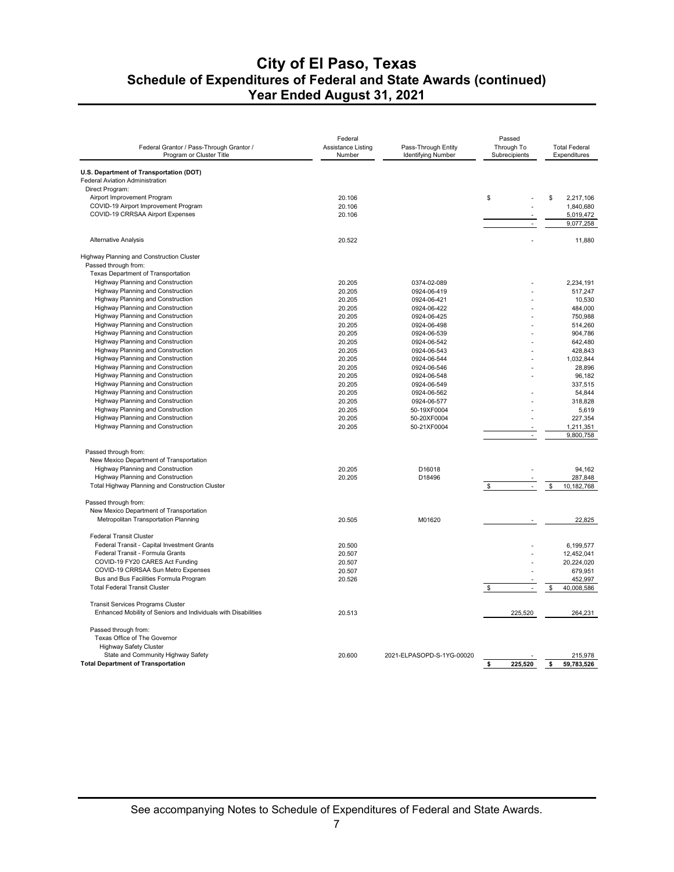| Federal Grantor / Pass-Through Grantor /                                   | Federal<br>Assistance Listing | Pass-Through Entity        | Passed<br>Through To | <b>Total Federal</b>   |
|----------------------------------------------------------------------------|-------------------------------|----------------------------|----------------------|------------------------|
| Program or Cluster Title                                                   | Number                        | <b>Identifying Number</b>  | Subrecipients        | Expenditures           |
|                                                                            |                               |                            |                      |                        |
| U.S. Department of Transportation (DOT)<br>Federal Aviation Administration |                               |                            |                      |                        |
| Direct Program:                                                            |                               |                            |                      |                        |
| Airport Improvement Program                                                | 20.106                        |                            | \$                   | \$<br>2,217,106        |
| COVID-19 Airport Improvement Program                                       | 20.106                        |                            |                      | 1,840,680              |
| COVID-19 CRRSAA Airport Expenses                                           | 20.106                        |                            |                      | 5,019,472              |
|                                                                            |                               |                            |                      | 9,077,258              |
| <b>Alternative Analysis</b>                                                | 20.522                        |                            |                      | 11,880                 |
| Highway Planning and Construction Cluster                                  |                               |                            |                      |                        |
| Passed through from:                                                       |                               |                            |                      |                        |
| Texas Department of Transportation                                         |                               |                            |                      |                        |
| Highway Planning and Construction                                          | 20.205                        | 0374-02-089                |                      | 2,234,191              |
| Highway Planning and Construction                                          | 20.205                        | 0924-06-419                |                      | 517,247                |
| Highway Planning and Construction                                          | 20.205                        | 0924-06-421                |                      | 10,530                 |
| Highway Planning and Construction                                          | 20.205                        | 0924-06-422                |                      | 484,000                |
| Highway Planning and Construction                                          | 20.205                        | 0924-06-425                |                      | 750,988                |
| Highway Planning and Construction                                          | 20.205                        | 0924-06-498                |                      | 514,260                |
| Highway Planning and Construction                                          | 20.205                        | 0924-06-539                |                      | 904,786                |
| Highway Planning and Construction                                          | 20.205                        | 0924-06-542                |                      | 642,480                |
| Highway Planning and Construction                                          | 20.205                        | 0924-06-543                |                      | 428,843                |
| Highway Planning and Construction                                          | 20.205                        | 0924-06-544                |                      | 1,032,844              |
| <b>Highway Planning and Construction</b>                                   | 20.205                        | 0924-06-546                |                      | 28,896                 |
| Highway Planning and Construction                                          | 20.205                        |                            |                      | 96,182                 |
| Highway Planning and Construction                                          |                               | 0924-06-548                |                      |                        |
| Highway Planning and Construction                                          | 20.205<br>20.205              | 0924-06-549<br>0924-06-562 |                      | 337,515<br>54.844      |
|                                                                            |                               |                            |                      |                        |
| Highway Planning and Construction                                          | 20.205                        | 0924-06-577                |                      | 318,828                |
| Highway Planning and Construction                                          | 20.205                        | 50-19XF0004                |                      | 5,619                  |
| Highway Planning and Construction                                          | 20.205                        | 50-20XF0004                |                      | 227,354                |
| Highway Planning and Construction                                          | 20.205                        | 50-21XF0004                |                      | 1,211,351<br>9,800,758 |
|                                                                            |                               |                            |                      |                        |
| Passed through from:                                                       |                               |                            |                      |                        |
| New Mexico Department of Transportation                                    |                               |                            |                      |                        |
| Highway Planning and Construction                                          | 20.205                        | D16018                     |                      | 94.162                 |
| Highway Planning and Construction                                          | 20.205                        | D18496                     |                      | 287,848                |
| Total Highway Planning and Construction Cluster                            |                               |                            | \$                   | \$<br>10,182,768       |
| Passed through from:                                                       |                               |                            |                      |                        |
| New Mexico Department of Transportation                                    |                               |                            |                      |                        |
| Metropolitan Transportation Planning                                       | 20.505                        | M01620                     |                      | 22,825                 |
| <b>Federal Transit Cluster</b>                                             |                               |                            |                      |                        |
| Federal Transit - Capital Investment Grants                                | 20.500                        |                            |                      | 6.199.577              |
| Federal Transit - Formula Grants                                           | 20.507                        |                            |                      | 12,452,041             |
| COVID-19 FY20 CARES Act Funding                                            | 20.507                        |                            |                      | 20,224,020             |
| COVID-19 CRRSAA Sun Metro Expenses                                         | 20.507                        |                            |                      | 679,951                |
| Bus and Bus Facilities Formula Program                                     | 20.526                        |                            |                      | 452,997                |
| <b>Total Federal Transit Cluster</b>                                       |                               |                            | \$                   | 40,008,586<br>\$       |
| Transit Services Programs Cluster                                          |                               |                            |                      |                        |
| Enhanced Mobility of Seniors and Individuals with Disabilities             | 20.513                        |                            | 225,520              | 264,231                |
| Passed through from:                                                       |                               |                            |                      |                        |
| Texas Office of The Governor                                               |                               |                            |                      |                        |
| <b>Highway Safety Cluster</b>                                              |                               |                            |                      |                        |
| State and Community Highway Safety                                         | 20.600                        | 2021-ELPASOPD-S-1YG-00020  |                      | 215,978                |
| <b>Total Department of Transportation</b>                                  |                               |                            | \$<br>225,520        | \$<br>59,783,526       |
|                                                                            |                               |                            |                      |                        |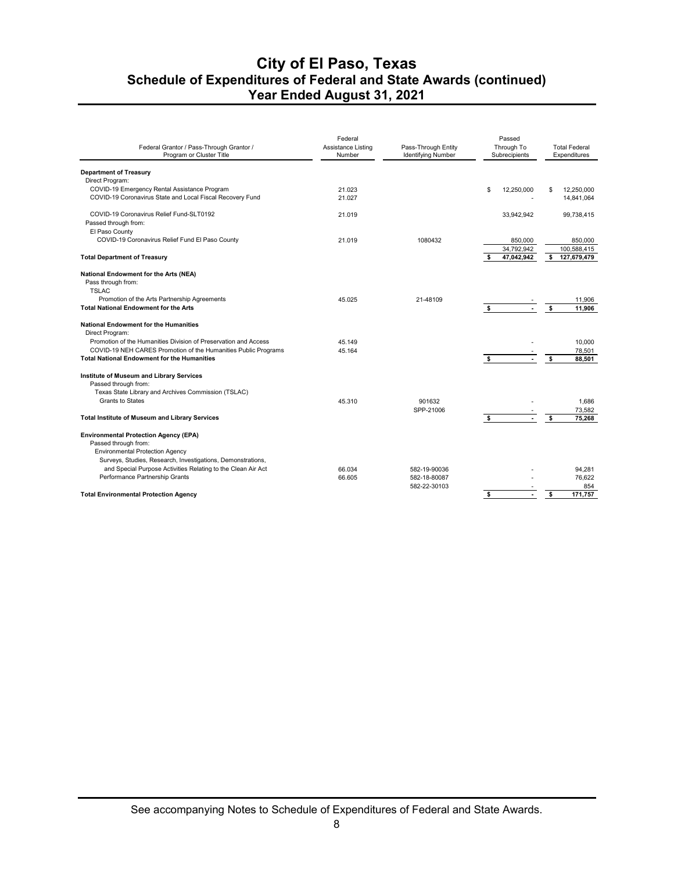| Federal Grantor / Pass-Through Grantor /<br>Program or Cluster Title | Federal<br>Assistance Listing<br>Number | Pass-Through Entity<br><b>Identifying Number</b> |    | Passed<br>Through To<br>Subrecipients |    | <b>Total Federal</b><br>Expenditures |
|----------------------------------------------------------------------|-----------------------------------------|--------------------------------------------------|----|---------------------------------------|----|--------------------------------------|
| <b>Department of Treasury</b>                                        |                                         |                                                  |    |                                       |    |                                      |
| Direct Program:                                                      |                                         |                                                  |    |                                       |    |                                      |
| COVID-19 Emergency Rental Assistance Program                         | 21.023                                  |                                                  | \$ | 12,250,000                            | \$ | 12,250,000                           |
| COVID-19 Coronavirus State and Local Fiscal Recovery Fund            | 21.027                                  |                                                  |    |                                       |    | 14,841,064                           |
| COVID-19 Coronavirus Relief Fund-SLT0192                             | 21.019                                  |                                                  |    | 33.942.942                            |    | 99.738.415                           |
| Passed through from:                                                 |                                         |                                                  |    |                                       |    |                                      |
| El Paso County                                                       |                                         |                                                  |    |                                       |    |                                      |
| COVID-19 Coronavirus Relief Fund El Paso County                      | 21.019                                  | 1080432                                          |    | 850,000                               |    | 850,000                              |
|                                                                      |                                         |                                                  |    | 34,792,942                            |    | 100,588,415                          |
| <b>Total Department of Treasury</b>                                  |                                         |                                                  | s. | 47,042,942                            | s. | 127,679,479                          |
| National Endowment for the Arts (NEA)                                |                                         |                                                  |    |                                       |    |                                      |
| Pass through from:                                                   |                                         |                                                  |    |                                       |    |                                      |
| <b>TSLAC</b>                                                         |                                         |                                                  |    |                                       |    |                                      |
| Promotion of the Arts Partnership Agreements                         | 45.025                                  | 21-48109                                         |    |                                       |    | 11,906                               |
| <b>Total National Endowment for the Arts</b>                         |                                         |                                                  | \$ |                                       | \$ | 11,906                               |
|                                                                      |                                         |                                                  |    |                                       |    |                                      |
| <b>National Endowment for the Humanities</b>                         |                                         |                                                  |    |                                       |    |                                      |
| Direct Program:                                                      |                                         |                                                  |    |                                       |    |                                      |
| Promotion of the Humanities Division of Preservation and Access      | 45.149                                  |                                                  |    |                                       |    | 10,000                               |
| COVID-19 NEH CARES Promotion of the Humanities Public Programs       | 45.164                                  |                                                  |    |                                       |    | 78,501                               |
| <b>Total National Endowment for the Humanities</b>                   |                                         |                                                  | s. | $\blacksquare$                        | s. | 88.501                               |
|                                                                      |                                         |                                                  |    |                                       |    |                                      |
| Institute of Museum and Library Services                             |                                         |                                                  |    |                                       |    |                                      |
| Passed through from:                                                 |                                         |                                                  |    |                                       |    |                                      |
| Texas State Library and Archives Commission (TSLAC)                  |                                         |                                                  |    |                                       |    |                                      |
| <b>Grants to States</b>                                              | 45.310                                  | 901632                                           |    |                                       |    | 1,686                                |
|                                                                      |                                         | SPP-21006                                        |    |                                       |    | 73,582                               |
| <b>Total Institute of Museum and Library Services</b>                |                                         |                                                  | s. | $\blacksquare$                        | \$ | 75,268                               |
| <b>Environmental Protection Agency (EPA)</b>                         |                                         |                                                  |    |                                       |    |                                      |
| Passed through from:                                                 |                                         |                                                  |    |                                       |    |                                      |
| <b>Environmental Protection Agency</b>                               |                                         |                                                  |    |                                       |    |                                      |
| Surveys, Studies, Research, Investigations, Demonstrations,          |                                         |                                                  |    |                                       |    |                                      |
| and Special Purpose Activities Relating to the Clean Air Act         | 66.034                                  | 582-19-90036                                     |    |                                       |    | 94,281                               |
| Performance Partnership Grants                                       | 66.605                                  | 582-18-80087                                     |    |                                       |    | 76,622                               |
|                                                                      |                                         | 582-22-30103                                     |    |                                       |    | 854                                  |
| <b>Total Environmental Protection Agency</b>                         |                                         |                                                  | \$ |                                       | \$ | 171.757                              |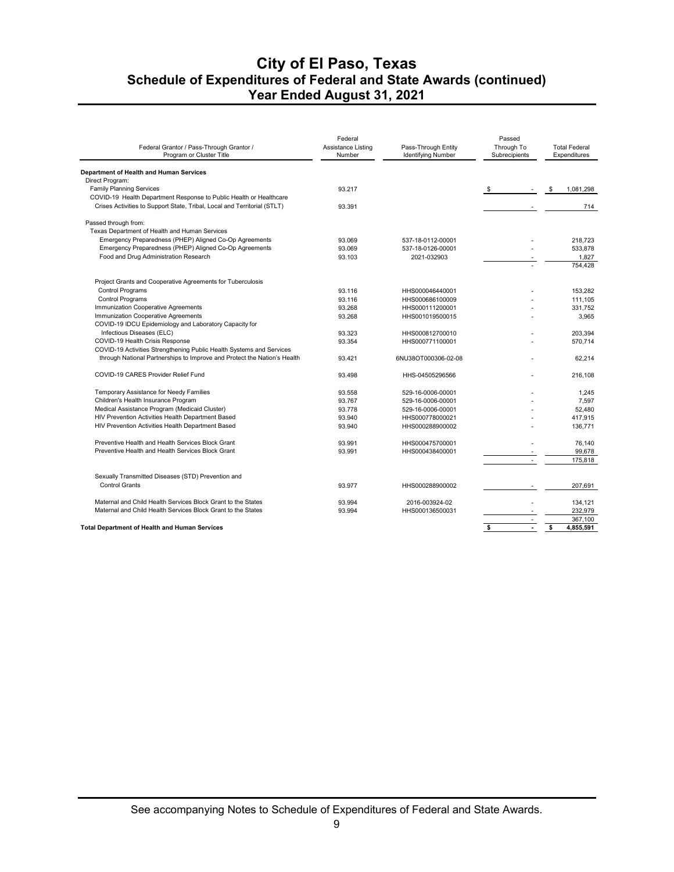| Federal Grantor / Pass-Through Grantor /<br>Program or Cluster Title     | Federal<br>Assistance Listing<br>Number | Pass-Through Entity<br><b>Identifying Number</b> | Passed<br>Through To<br>Subrecipients | <b>Total Federal</b><br>Expenditures |
|--------------------------------------------------------------------------|-----------------------------------------|--------------------------------------------------|---------------------------------------|--------------------------------------|
| Department of Health and Human Services                                  |                                         |                                                  |                                       |                                      |
| Direct Program:                                                          |                                         |                                                  |                                       |                                      |
| <b>Family Planning Services</b>                                          | 93.217                                  |                                                  | \$                                    | 1,081,298<br>\$                      |
| COVID-19 Health Department Response to Public Health or Healthcare       |                                         |                                                  |                                       |                                      |
| Crises Activities to Support State, Tribal, Local and Territorial (STLT) | 93.391                                  |                                                  |                                       | 714                                  |
| Passed through from:                                                     |                                         |                                                  |                                       |                                      |
| Texas Department of Health and Human Services                            |                                         |                                                  |                                       |                                      |
| Emergency Preparedness (PHEP) Aligned Co-Op Agreements                   | 93.069                                  | 537-18-0112-00001                                |                                       | 218.723                              |
| Emergency Preparedness (PHEP) Aligned Co-Op Agreements                   | 93.069                                  | 537-18-0126-00001                                |                                       | 533.878                              |
| Food and Drug Administration Research                                    | 93.103                                  | 2021-032903                                      |                                       | 1,827                                |
|                                                                          |                                         |                                                  |                                       | 754,428                              |
| Project Grants and Cooperative Agreements for Tuberculosis               |                                         |                                                  |                                       |                                      |
| <b>Control Programs</b>                                                  | 93.116                                  | HHS000046440001                                  |                                       | 153,282                              |
| <b>Control Programs</b>                                                  | 93.116                                  | HHS000686100009                                  |                                       | 111.105                              |
| Immunization Cooperative Agreements                                      | 93.268                                  | HHS000111200001                                  |                                       | 331,752                              |
| Immunization Cooperative Agreements                                      | 93.268                                  | HHS001019500015                                  |                                       | 3,965                                |
| COVID-19 IDCU Epidemiology and Laboratory Capacity for                   |                                         |                                                  |                                       |                                      |
| Infectious Diseases (ELC)                                                | 93.323                                  | HHS000812700010                                  |                                       | 203.394                              |
| COVID-19 Health Crisis Response                                          | 93.354                                  | HHS000771100001                                  |                                       | 570,714                              |
| COVID-19 Activities Strengthening Public Health Systems and Services     |                                         |                                                  |                                       |                                      |
| through National Partnerships to Improve and Protect the Nation's Health | 93.421                                  | 6NU38OT000306-02-08                              |                                       | 62,214                               |
|                                                                          |                                         |                                                  |                                       |                                      |
| COVID-19 CARES Provider Relief Fund                                      | 93.498                                  | HHS-04505296566                                  |                                       | 216.108                              |
| Temporary Assistance for Needy Families                                  | 93.558                                  | 529-16-0006-00001                                |                                       | 1.245                                |
| Children's Health Insurance Program                                      | 93.767                                  | 529-16-0006-00001                                |                                       | 7,597                                |
| Medical Assistance Program (Medicaid Cluster)                            | 93.778                                  | 529-16-0006-00001                                |                                       | 52.480                               |
| HIV Prevention Activities Health Department Based                        | 93.940                                  | HHS000778000021                                  |                                       | 417,915                              |
| HIV Prevention Activities Health Department Based                        | 93.940                                  | HHS000288900002                                  |                                       | 136,771                              |
| Preventive Health and Health Services Block Grant                        | 93.991                                  | HHS000475700001                                  |                                       | 76,140                               |
| Preventive Health and Health Services Block Grant                        | 93.991                                  | HHS000438400001                                  |                                       | 99,678                               |
|                                                                          |                                         |                                                  |                                       | 175,818                              |
| Sexually Transmitted Diseases (STD) Prevention and                       |                                         |                                                  |                                       |                                      |
| <b>Control Grants</b>                                                    | 93.977                                  | HHS000288900002                                  |                                       | 207,691                              |
| Maternal and Child Health Services Block Grant to the States             | 93.994                                  | 2016-003924-02                                   |                                       | 134,121                              |
| Maternal and Child Health Services Block Grant to the States             | 93.994                                  | HHS000136500031                                  |                                       | 232,979                              |
|                                                                          |                                         |                                                  |                                       | 367,100                              |
| Total Department of Health and Human Services                            |                                         |                                                  | \$                                    | 4,855,591<br>\$                      |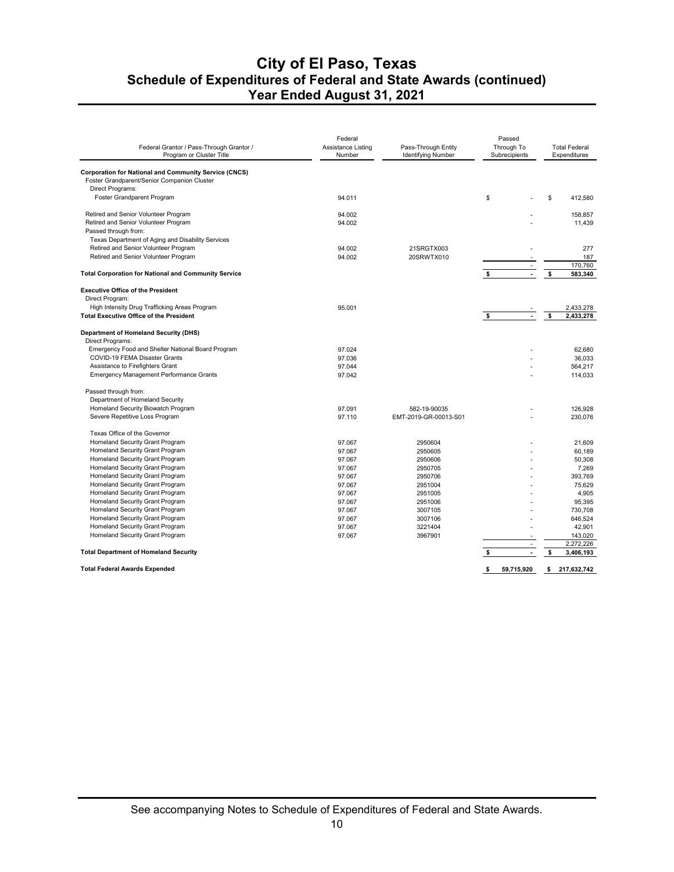| Federal Grantor / Pass-Through Grantor /<br>Program or Cluster Title                            | Federal<br>Assistance Listing<br>Number | Pass-Through Entity<br><b>Identifying Number</b> | Passed<br>Through To<br>Subrecipients |    | <b>Total Federal</b><br>Expenditures |
|-------------------------------------------------------------------------------------------------|-----------------------------------------|--------------------------------------------------|---------------------------------------|----|--------------------------------------|
| <b>Corporation for National and Community Service (CNCS)</b>                                    |                                         |                                                  |                                       |    |                                      |
| Foster Grandparent/Senior Companion Cluster<br>Direct Programs:                                 |                                         |                                                  |                                       |    |                                      |
| Foster Grandparent Program                                                                      | 94.011                                  |                                                  | \$                                    | \$ | 412.580                              |
|                                                                                                 |                                         |                                                  |                                       |    |                                      |
| Retired and Senior Volunteer Program                                                            | 94.002                                  |                                                  |                                       |    | 158,857                              |
| Retired and Senior Volunteer Program                                                            | 94.002                                  |                                                  |                                       |    | 11,439                               |
| Passed through from:                                                                            |                                         |                                                  |                                       |    |                                      |
| Texas Department of Aging and Disability Services                                               |                                         |                                                  |                                       |    |                                      |
| Retired and Senior Volunteer Program                                                            | 94.002                                  | 21SRGTX003                                       |                                       |    | 277                                  |
| Retired and Senior Volunteer Program                                                            | 94.002                                  | 20SRWTX010                                       |                                       |    | 187                                  |
|                                                                                                 |                                         |                                                  |                                       |    | 170,760                              |
| <b>Total Corporation for National and Community Service</b>                                     |                                         |                                                  | \$<br>$\blacksquare$                  | \$ | 583,340                              |
| <b>Executive Office of the President</b>                                                        |                                         |                                                  |                                       |    |                                      |
| Direct Program:                                                                                 |                                         |                                                  |                                       |    |                                      |
| High Intensity Drug Trafficking Areas Program<br><b>Total Executive Office of the President</b> | 95.001                                  |                                                  | $\overline{\phantom{a}}$              |    | 2,433,278                            |
|                                                                                                 |                                         |                                                  | \$                                    | \$ | 2,433,278                            |
| Department of Homeland Security (DHS)                                                           |                                         |                                                  |                                       |    |                                      |
| Direct Programs:                                                                                |                                         |                                                  |                                       |    |                                      |
| Emergency Food and Shelter National Board Program                                               | 97.024                                  |                                                  |                                       |    | 62,680                               |
| COVID-19 FEMA Disaster Grants                                                                   | 97.036                                  |                                                  |                                       |    | 36.033                               |
| Assistance to Firefighters Grant                                                                | 97.044                                  |                                                  |                                       |    | 564.217                              |
| <b>Emergency Management Performance Grants</b>                                                  | 97.042                                  |                                                  |                                       |    | 114,033                              |
| Passed through from:                                                                            |                                         |                                                  |                                       |    |                                      |
| Department of Homeland Security                                                                 |                                         |                                                  |                                       |    |                                      |
| Homeland Security Biowatch Program                                                              | 97.091                                  | 582-19-90035                                     |                                       |    | 126.928                              |
| Severe Repetitive Loss Program                                                                  | 97.110                                  | EMT-2019-GR-00013-S01                            |                                       |    | 230,076                              |
| Texas Office of the Governor                                                                    |                                         |                                                  |                                       |    |                                      |
| Homeland Security Grant Program                                                                 | 97.067                                  | 2950604                                          |                                       |    | 21,609                               |
| Homeland Security Grant Program                                                                 | 97.067                                  | 2950605                                          |                                       |    | 60,189                               |
| Homeland Security Grant Program                                                                 | 97.067                                  | 2950606                                          |                                       |    | 50,308                               |
| Homeland Security Grant Program                                                                 | 97.067                                  | 2950705                                          |                                       |    | 7,269                                |
| Homeland Security Grant Program                                                                 | 97.067                                  | 2950706                                          |                                       |    | 393,769                              |
| Homeland Security Grant Program                                                                 | 97.067                                  | 2951004                                          |                                       |    | 75.629                               |
| Homeland Security Grant Program                                                                 | 97.067                                  | 2951005                                          | ÷.                                    |    | 4.905                                |
| Homeland Security Grant Program                                                                 | 97.067                                  | 2951006                                          |                                       |    | 95,395                               |
| Homeland Security Grant Program                                                                 | 97.067                                  | 3007105                                          |                                       |    | 730,708                              |
| Homeland Security Grant Program                                                                 | 97.067                                  | 3007106                                          |                                       |    | 646,524                              |
| Homeland Security Grant Program<br>Homeland Security Grant Program                              | 97.067                                  | 3221404                                          |                                       |    | 42,901                               |
|                                                                                                 | 97.067                                  | 3967901                                          | $\overline{\phantom{a}}$              |    | 143,020<br>2,272,226                 |
| <b>Total Department of Homeland Security</b>                                                    |                                         |                                                  | \$<br>÷.                              | \$ | 3,406,193                            |
|                                                                                                 |                                         |                                                  |                                       |    |                                      |
| <b>Total Federal Awards Expended</b>                                                            |                                         |                                                  | \$<br>59,715,920                      | s. | 217,632,742                          |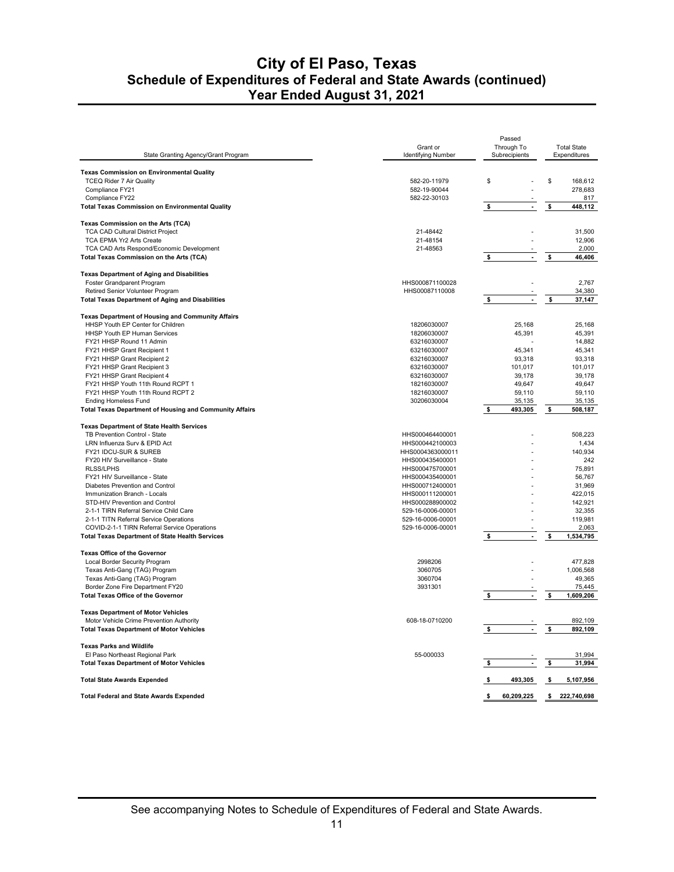| <b>Texas Commission on Environmental Quality</b><br><b>TCEQ Rider 7 Air Quality</b><br>\$<br>\$<br>582-20-11979<br>168,612<br>Compliance FY21<br>582-19-90044<br>278,683<br>Compliance FY22<br>582-22-30103<br>817<br><b>Total Texas Commission on Environmental Quality</b><br>448,112<br>\$<br>$\blacksquare$<br>\$<br>Texas Commission on the Arts (TCA)<br><b>TCA CAD Cultural District Project</b><br>21-48442<br>31,500<br>12,906<br>TCA EPMA Yr2 Arts Create<br>21-48154<br>TCA CAD Arts Respond/Economic Development<br>21-48563<br>2.000<br>Total Texas Commission on the Arts (TCA)<br>\$<br>\$<br>46,406<br><b>Texas Department of Aging and Disabilities</b><br>Foster Grandparent Program<br>HHS000871100028<br>2,767<br>HHS00087110008<br>34,380<br>Retired Senior Volunteer Program<br><b>Total Texas Department of Aging and Disabilities</b><br>37,147<br>\$<br><b>Texas Department of Housing and Community Affairs</b><br>HHSP Youth EP Center for Children<br>18206030007<br>25,168<br>25,168<br>HHSP Youth EP Human Services<br>18206030007<br>45,391<br>45,391<br>FY21 HHSP Round 11 Admin<br>63216030007<br>14,882<br>FY21 HHSP Grant Recipient 1<br>63216030007<br>45,341<br>45,341<br>FY21 HHSP Grant Recipient 2<br>63216030007<br>93,318<br>93,318<br>FY21 HHSP Grant Recipient 3<br>63216030007<br>101,017<br>101.017<br>FY21 HHSP Grant Recipient 4<br>63216030007<br>39,178<br>39,178<br>FY21 HHSP Youth 11th Round RCPT 1<br>18216030007<br>49,647<br>49,647<br>FY21 HHSP Youth 11th Round RCPT 2<br>18216030007<br>59,110<br>59,110<br><b>Ending Homeless Fund</b><br>30206030004<br>35,135<br>35,135<br><b>Total Texas Department of Housing and Community Affairs</b><br>493,305<br>508,187<br>\$<br>Ŝ<br><b>Texas Department of State Health Services</b><br>TB Prevention Control - State<br>HHS000464400001<br>508,223<br>LRN Influenza Surv & EPID Act<br>HHS000442100003<br>1,434<br>FY21 IDCU-SUR & SUREB<br>140,934<br>HHS0004363000011<br>FY20 HIV Surveillance - State<br>HHS000435400001<br>242<br><b>RLSS/LPHS</b><br>HHS000475700001<br>75,891<br>FY21 HIV Surveillance - State<br>HHS000435400001<br>56,767<br>Diabetes Prevention and Control<br>HHS000712400001<br>31,969<br>422,015<br>Immunization Branch - Locals<br>HHS000111200001<br>STD-HIV Prevention and Control<br>HHS000288900002<br>142.921<br>32,355<br>2-1-1 TIRN Referral Service Child Care<br>529-16-0006-00001<br>2-1-1 TITN Referral Service Operations<br>529-16-0006-00001<br>119,981<br>529-16-0006-00001<br>2,063<br>COVID-2-1-1 TIRN Referral Service Operations<br>1,534,795<br><b>Total Texas Department of State Health Services</b><br>$\overline{\phantom{a}}$<br>s<br>Texas Office of the Governor<br>2998206<br>477,828<br>Local Border Security Program<br>3060705<br>Texas Anti-Gang (TAG) Program<br>1,006,568<br>Texas Anti-Gang (TAG) Program<br>3060704<br>49,365<br>Border Zone Fire Department FY20<br>3931301<br>75,445<br><b>Total Texas Office of the Governor</b><br>\$<br>$\mathbf{r}$<br>\$<br>1,609,206<br><b>Texas Department of Motor Vehicles</b><br>608-18-0710200<br>892,109<br>Motor Vehicle Crime Prevention Authority<br>ä,<br>\$<br>892,109<br><b>Total Texas Department of Motor Vehicles</b><br><b>Texas Parks and Wildlife</b><br>El Paso Northeast Regional Park<br>55-000033<br>31,994<br>\$<br><b>Total Texas Department of Motor Vehicles</b><br>31,994<br>\$<br><b>Total State Awards Expended</b><br>\$<br>493,305<br>$\bullet$<br>5,107,956<br><b>Total Federal and State Awards Expended</b><br>60,209,225<br>222,740,698<br>\$<br>\$ | State Granting Agency/Grant Program | Grant or<br><b>Identifying Number</b> | Passed<br>Through To<br>Subrecipients | <b>Total State</b><br>Expenditures |
|----------------------------------------------------------------------------------------------------------------------------------------------------------------------------------------------------------------------------------------------------------------------------------------------------------------------------------------------------------------------------------------------------------------------------------------------------------------------------------------------------------------------------------------------------------------------------------------------------------------------------------------------------------------------------------------------------------------------------------------------------------------------------------------------------------------------------------------------------------------------------------------------------------------------------------------------------------------------------------------------------------------------------------------------------------------------------------------------------------------------------------------------------------------------------------------------------------------------------------------------------------------------------------------------------------------------------------------------------------------------------------------------------------------------------------------------------------------------------------------------------------------------------------------------------------------------------------------------------------------------------------------------------------------------------------------------------------------------------------------------------------------------------------------------------------------------------------------------------------------------------------------------------------------------------------------------------------------------------------------------------------------------------------------------------------------------------------------------------------------------------------------------------------------------------------------------------------------------------------------------------------------------------------------------------------------------------------------------------------------------------------------------------------------------------------------------------------------------------------------------------------------------------------------------------------------------------------------------------------------------------------------------------------------------------------------------------------------------------------------------------------------------------------------------------------------------------------------------------------------------------------------------------------------------------------------------------------------------------------------------------------------------------------------------------------------------------------------------------------------------------------------------------------------------------------------------------------------------------------------------------------------------------------------------------------------------------------------------------------------------------------------------------------------------------------------------------------------------------------------------------------------------------------------------------------------------------------------------------------|-------------------------------------|---------------------------------------|---------------------------------------|------------------------------------|
|                                                                                                                                                                                                                                                                                                                                                                                                                                                                                                                                                                                                                                                                                                                                                                                                                                                                                                                                                                                                                                                                                                                                                                                                                                                                                                                                                                                                                                                                                                                                                                                                                                                                                                                                                                                                                                                                                                                                                                                                                                                                                                                                                                                                                                                                                                                                                                                                                                                                                                                                                                                                                                                                                                                                                                                                                                                                                                                                                                                                                                                                                                                                                                                                                                                                                                                                                                                                                                                                                                                                                                                                          |                                     |                                       |                                       |                                    |
|                                                                                                                                                                                                                                                                                                                                                                                                                                                                                                                                                                                                                                                                                                                                                                                                                                                                                                                                                                                                                                                                                                                                                                                                                                                                                                                                                                                                                                                                                                                                                                                                                                                                                                                                                                                                                                                                                                                                                                                                                                                                                                                                                                                                                                                                                                                                                                                                                                                                                                                                                                                                                                                                                                                                                                                                                                                                                                                                                                                                                                                                                                                                                                                                                                                                                                                                                                                                                                                                                                                                                                                                          |                                     |                                       |                                       |                                    |
|                                                                                                                                                                                                                                                                                                                                                                                                                                                                                                                                                                                                                                                                                                                                                                                                                                                                                                                                                                                                                                                                                                                                                                                                                                                                                                                                                                                                                                                                                                                                                                                                                                                                                                                                                                                                                                                                                                                                                                                                                                                                                                                                                                                                                                                                                                                                                                                                                                                                                                                                                                                                                                                                                                                                                                                                                                                                                                                                                                                                                                                                                                                                                                                                                                                                                                                                                                                                                                                                                                                                                                                                          |                                     |                                       |                                       |                                    |
|                                                                                                                                                                                                                                                                                                                                                                                                                                                                                                                                                                                                                                                                                                                                                                                                                                                                                                                                                                                                                                                                                                                                                                                                                                                                                                                                                                                                                                                                                                                                                                                                                                                                                                                                                                                                                                                                                                                                                                                                                                                                                                                                                                                                                                                                                                                                                                                                                                                                                                                                                                                                                                                                                                                                                                                                                                                                                                                                                                                                                                                                                                                                                                                                                                                                                                                                                                                                                                                                                                                                                                                                          |                                     |                                       |                                       |                                    |
|                                                                                                                                                                                                                                                                                                                                                                                                                                                                                                                                                                                                                                                                                                                                                                                                                                                                                                                                                                                                                                                                                                                                                                                                                                                                                                                                                                                                                                                                                                                                                                                                                                                                                                                                                                                                                                                                                                                                                                                                                                                                                                                                                                                                                                                                                                                                                                                                                                                                                                                                                                                                                                                                                                                                                                                                                                                                                                                                                                                                                                                                                                                                                                                                                                                                                                                                                                                                                                                                                                                                                                                                          |                                     |                                       |                                       |                                    |
|                                                                                                                                                                                                                                                                                                                                                                                                                                                                                                                                                                                                                                                                                                                                                                                                                                                                                                                                                                                                                                                                                                                                                                                                                                                                                                                                                                                                                                                                                                                                                                                                                                                                                                                                                                                                                                                                                                                                                                                                                                                                                                                                                                                                                                                                                                                                                                                                                                                                                                                                                                                                                                                                                                                                                                                                                                                                                                                                                                                                                                                                                                                                                                                                                                                                                                                                                                                                                                                                                                                                                                                                          |                                     |                                       |                                       |                                    |
|                                                                                                                                                                                                                                                                                                                                                                                                                                                                                                                                                                                                                                                                                                                                                                                                                                                                                                                                                                                                                                                                                                                                                                                                                                                                                                                                                                                                                                                                                                                                                                                                                                                                                                                                                                                                                                                                                                                                                                                                                                                                                                                                                                                                                                                                                                                                                                                                                                                                                                                                                                                                                                                                                                                                                                                                                                                                                                                                                                                                                                                                                                                                                                                                                                                                                                                                                                                                                                                                                                                                                                                                          |                                     |                                       |                                       |                                    |
|                                                                                                                                                                                                                                                                                                                                                                                                                                                                                                                                                                                                                                                                                                                                                                                                                                                                                                                                                                                                                                                                                                                                                                                                                                                                                                                                                                                                                                                                                                                                                                                                                                                                                                                                                                                                                                                                                                                                                                                                                                                                                                                                                                                                                                                                                                                                                                                                                                                                                                                                                                                                                                                                                                                                                                                                                                                                                                                                                                                                                                                                                                                                                                                                                                                                                                                                                                                                                                                                                                                                                                                                          |                                     |                                       |                                       |                                    |
|                                                                                                                                                                                                                                                                                                                                                                                                                                                                                                                                                                                                                                                                                                                                                                                                                                                                                                                                                                                                                                                                                                                                                                                                                                                                                                                                                                                                                                                                                                                                                                                                                                                                                                                                                                                                                                                                                                                                                                                                                                                                                                                                                                                                                                                                                                                                                                                                                                                                                                                                                                                                                                                                                                                                                                                                                                                                                                                                                                                                                                                                                                                                                                                                                                                                                                                                                                                                                                                                                                                                                                                                          |                                     |                                       |                                       |                                    |
|                                                                                                                                                                                                                                                                                                                                                                                                                                                                                                                                                                                                                                                                                                                                                                                                                                                                                                                                                                                                                                                                                                                                                                                                                                                                                                                                                                                                                                                                                                                                                                                                                                                                                                                                                                                                                                                                                                                                                                                                                                                                                                                                                                                                                                                                                                                                                                                                                                                                                                                                                                                                                                                                                                                                                                                                                                                                                                                                                                                                                                                                                                                                                                                                                                                                                                                                                                                                                                                                                                                                                                                                          |                                     |                                       |                                       |                                    |
|                                                                                                                                                                                                                                                                                                                                                                                                                                                                                                                                                                                                                                                                                                                                                                                                                                                                                                                                                                                                                                                                                                                                                                                                                                                                                                                                                                                                                                                                                                                                                                                                                                                                                                                                                                                                                                                                                                                                                                                                                                                                                                                                                                                                                                                                                                                                                                                                                                                                                                                                                                                                                                                                                                                                                                                                                                                                                                                                                                                                                                                                                                                                                                                                                                                                                                                                                                                                                                                                                                                                                                                                          |                                     |                                       |                                       |                                    |
|                                                                                                                                                                                                                                                                                                                                                                                                                                                                                                                                                                                                                                                                                                                                                                                                                                                                                                                                                                                                                                                                                                                                                                                                                                                                                                                                                                                                                                                                                                                                                                                                                                                                                                                                                                                                                                                                                                                                                                                                                                                                                                                                                                                                                                                                                                                                                                                                                                                                                                                                                                                                                                                                                                                                                                                                                                                                                                                                                                                                                                                                                                                                                                                                                                                                                                                                                                                                                                                                                                                                                                                                          |                                     |                                       |                                       |                                    |
|                                                                                                                                                                                                                                                                                                                                                                                                                                                                                                                                                                                                                                                                                                                                                                                                                                                                                                                                                                                                                                                                                                                                                                                                                                                                                                                                                                                                                                                                                                                                                                                                                                                                                                                                                                                                                                                                                                                                                                                                                                                                                                                                                                                                                                                                                                                                                                                                                                                                                                                                                                                                                                                                                                                                                                                                                                                                                                                                                                                                                                                                                                                                                                                                                                                                                                                                                                                                                                                                                                                                                                                                          |                                     |                                       |                                       |                                    |
|                                                                                                                                                                                                                                                                                                                                                                                                                                                                                                                                                                                                                                                                                                                                                                                                                                                                                                                                                                                                                                                                                                                                                                                                                                                                                                                                                                                                                                                                                                                                                                                                                                                                                                                                                                                                                                                                                                                                                                                                                                                                                                                                                                                                                                                                                                                                                                                                                                                                                                                                                                                                                                                                                                                                                                                                                                                                                                                                                                                                                                                                                                                                                                                                                                                                                                                                                                                                                                                                                                                                                                                                          |                                     |                                       |                                       |                                    |
|                                                                                                                                                                                                                                                                                                                                                                                                                                                                                                                                                                                                                                                                                                                                                                                                                                                                                                                                                                                                                                                                                                                                                                                                                                                                                                                                                                                                                                                                                                                                                                                                                                                                                                                                                                                                                                                                                                                                                                                                                                                                                                                                                                                                                                                                                                                                                                                                                                                                                                                                                                                                                                                                                                                                                                                                                                                                                                                                                                                                                                                                                                                                                                                                                                                                                                                                                                                                                                                                                                                                                                                                          |                                     |                                       |                                       |                                    |
|                                                                                                                                                                                                                                                                                                                                                                                                                                                                                                                                                                                                                                                                                                                                                                                                                                                                                                                                                                                                                                                                                                                                                                                                                                                                                                                                                                                                                                                                                                                                                                                                                                                                                                                                                                                                                                                                                                                                                                                                                                                                                                                                                                                                                                                                                                                                                                                                                                                                                                                                                                                                                                                                                                                                                                                                                                                                                                                                                                                                                                                                                                                                                                                                                                                                                                                                                                                                                                                                                                                                                                                                          |                                     |                                       |                                       |                                    |
|                                                                                                                                                                                                                                                                                                                                                                                                                                                                                                                                                                                                                                                                                                                                                                                                                                                                                                                                                                                                                                                                                                                                                                                                                                                                                                                                                                                                                                                                                                                                                                                                                                                                                                                                                                                                                                                                                                                                                                                                                                                                                                                                                                                                                                                                                                                                                                                                                                                                                                                                                                                                                                                                                                                                                                                                                                                                                                                                                                                                                                                                                                                                                                                                                                                                                                                                                                                                                                                                                                                                                                                                          |                                     |                                       |                                       |                                    |
|                                                                                                                                                                                                                                                                                                                                                                                                                                                                                                                                                                                                                                                                                                                                                                                                                                                                                                                                                                                                                                                                                                                                                                                                                                                                                                                                                                                                                                                                                                                                                                                                                                                                                                                                                                                                                                                                                                                                                                                                                                                                                                                                                                                                                                                                                                                                                                                                                                                                                                                                                                                                                                                                                                                                                                                                                                                                                                                                                                                                                                                                                                                                                                                                                                                                                                                                                                                                                                                                                                                                                                                                          |                                     |                                       |                                       |                                    |
|                                                                                                                                                                                                                                                                                                                                                                                                                                                                                                                                                                                                                                                                                                                                                                                                                                                                                                                                                                                                                                                                                                                                                                                                                                                                                                                                                                                                                                                                                                                                                                                                                                                                                                                                                                                                                                                                                                                                                                                                                                                                                                                                                                                                                                                                                                                                                                                                                                                                                                                                                                                                                                                                                                                                                                                                                                                                                                                                                                                                                                                                                                                                                                                                                                                                                                                                                                                                                                                                                                                                                                                                          |                                     |                                       |                                       |                                    |
|                                                                                                                                                                                                                                                                                                                                                                                                                                                                                                                                                                                                                                                                                                                                                                                                                                                                                                                                                                                                                                                                                                                                                                                                                                                                                                                                                                                                                                                                                                                                                                                                                                                                                                                                                                                                                                                                                                                                                                                                                                                                                                                                                                                                                                                                                                                                                                                                                                                                                                                                                                                                                                                                                                                                                                                                                                                                                                                                                                                                                                                                                                                                                                                                                                                                                                                                                                                                                                                                                                                                                                                                          |                                     |                                       |                                       |                                    |
|                                                                                                                                                                                                                                                                                                                                                                                                                                                                                                                                                                                                                                                                                                                                                                                                                                                                                                                                                                                                                                                                                                                                                                                                                                                                                                                                                                                                                                                                                                                                                                                                                                                                                                                                                                                                                                                                                                                                                                                                                                                                                                                                                                                                                                                                                                                                                                                                                                                                                                                                                                                                                                                                                                                                                                                                                                                                                                                                                                                                                                                                                                                                                                                                                                                                                                                                                                                                                                                                                                                                                                                                          |                                     |                                       |                                       |                                    |
|                                                                                                                                                                                                                                                                                                                                                                                                                                                                                                                                                                                                                                                                                                                                                                                                                                                                                                                                                                                                                                                                                                                                                                                                                                                                                                                                                                                                                                                                                                                                                                                                                                                                                                                                                                                                                                                                                                                                                                                                                                                                                                                                                                                                                                                                                                                                                                                                                                                                                                                                                                                                                                                                                                                                                                                                                                                                                                                                                                                                                                                                                                                                                                                                                                                                                                                                                                                                                                                                                                                                                                                                          |                                     |                                       |                                       |                                    |
|                                                                                                                                                                                                                                                                                                                                                                                                                                                                                                                                                                                                                                                                                                                                                                                                                                                                                                                                                                                                                                                                                                                                                                                                                                                                                                                                                                                                                                                                                                                                                                                                                                                                                                                                                                                                                                                                                                                                                                                                                                                                                                                                                                                                                                                                                                                                                                                                                                                                                                                                                                                                                                                                                                                                                                                                                                                                                                                                                                                                                                                                                                                                                                                                                                                                                                                                                                                                                                                                                                                                                                                                          |                                     |                                       |                                       |                                    |
|                                                                                                                                                                                                                                                                                                                                                                                                                                                                                                                                                                                                                                                                                                                                                                                                                                                                                                                                                                                                                                                                                                                                                                                                                                                                                                                                                                                                                                                                                                                                                                                                                                                                                                                                                                                                                                                                                                                                                                                                                                                                                                                                                                                                                                                                                                                                                                                                                                                                                                                                                                                                                                                                                                                                                                                                                                                                                                                                                                                                                                                                                                                                                                                                                                                                                                                                                                                                                                                                                                                                                                                                          |                                     |                                       |                                       |                                    |
|                                                                                                                                                                                                                                                                                                                                                                                                                                                                                                                                                                                                                                                                                                                                                                                                                                                                                                                                                                                                                                                                                                                                                                                                                                                                                                                                                                                                                                                                                                                                                                                                                                                                                                                                                                                                                                                                                                                                                                                                                                                                                                                                                                                                                                                                                                                                                                                                                                                                                                                                                                                                                                                                                                                                                                                                                                                                                                                                                                                                                                                                                                                                                                                                                                                                                                                                                                                                                                                                                                                                                                                                          |                                     |                                       |                                       |                                    |
|                                                                                                                                                                                                                                                                                                                                                                                                                                                                                                                                                                                                                                                                                                                                                                                                                                                                                                                                                                                                                                                                                                                                                                                                                                                                                                                                                                                                                                                                                                                                                                                                                                                                                                                                                                                                                                                                                                                                                                                                                                                                                                                                                                                                                                                                                                                                                                                                                                                                                                                                                                                                                                                                                                                                                                                                                                                                                                                                                                                                                                                                                                                                                                                                                                                                                                                                                                                                                                                                                                                                                                                                          |                                     |                                       |                                       |                                    |
|                                                                                                                                                                                                                                                                                                                                                                                                                                                                                                                                                                                                                                                                                                                                                                                                                                                                                                                                                                                                                                                                                                                                                                                                                                                                                                                                                                                                                                                                                                                                                                                                                                                                                                                                                                                                                                                                                                                                                                                                                                                                                                                                                                                                                                                                                                                                                                                                                                                                                                                                                                                                                                                                                                                                                                                                                                                                                                                                                                                                                                                                                                                                                                                                                                                                                                                                                                                                                                                                                                                                                                                                          |                                     |                                       |                                       |                                    |
|                                                                                                                                                                                                                                                                                                                                                                                                                                                                                                                                                                                                                                                                                                                                                                                                                                                                                                                                                                                                                                                                                                                                                                                                                                                                                                                                                                                                                                                                                                                                                                                                                                                                                                                                                                                                                                                                                                                                                                                                                                                                                                                                                                                                                                                                                                                                                                                                                                                                                                                                                                                                                                                                                                                                                                                                                                                                                                                                                                                                                                                                                                                                                                                                                                                                                                                                                                                                                                                                                                                                                                                                          |                                     |                                       |                                       |                                    |
|                                                                                                                                                                                                                                                                                                                                                                                                                                                                                                                                                                                                                                                                                                                                                                                                                                                                                                                                                                                                                                                                                                                                                                                                                                                                                                                                                                                                                                                                                                                                                                                                                                                                                                                                                                                                                                                                                                                                                                                                                                                                                                                                                                                                                                                                                                                                                                                                                                                                                                                                                                                                                                                                                                                                                                                                                                                                                                                                                                                                                                                                                                                                                                                                                                                                                                                                                                                                                                                                                                                                                                                                          |                                     |                                       |                                       |                                    |
|                                                                                                                                                                                                                                                                                                                                                                                                                                                                                                                                                                                                                                                                                                                                                                                                                                                                                                                                                                                                                                                                                                                                                                                                                                                                                                                                                                                                                                                                                                                                                                                                                                                                                                                                                                                                                                                                                                                                                                                                                                                                                                                                                                                                                                                                                                                                                                                                                                                                                                                                                                                                                                                                                                                                                                                                                                                                                                                                                                                                                                                                                                                                                                                                                                                                                                                                                                                                                                                                                                                                                                                                          |                                     |                                       |                                       |                                    |
|                                                                                                                                                                                                                                                                                                                                                                                                                                                                                                                                                                                                                                                                                                                                                                                                                                                                                                                                                                                                                                                                                                                                                                                                                                                                                                                                                                                                                                                                                                                                                                                                                                                                                                                                                                                                                                                                                                                                                                                                                                                                                                                                                                                                                                                                                                                                                                                                                                                                                                                                                                                                                                                                                                                                                                                                                                                                                                                                                                                                                                                                                                                                                                                                                                                                                                                                                                                                                                                                                                                                                                                                          |                                     |                                       |                                       |                                    |
|                                                                                                                                                                                                                                                                                                                                                                                                                                                                                                                                                                                                                                                                                                                                                                                                                                                                                                                                                                                                                                                                                                                                                                                                                                                                                                                                                                                                                                                                                                                                                                                                                                                                                                                                                                                                                                                                                                                                                                                                                                                                                                                                                                                                                                                                                                                                                                                                                                                                                                                                                                                                                                                                                                                                                                                                                                                                                                                                                                                                                                                                                                                                                                                                                                                                                                                                                                                                                                                                                                                                                                                                          |                                     |                                       |                                       |                                    |
|                                                                                                                                                                                                                                                                                                                                                                                                                                                                                                                                                                                                                                                                                                                                                                                                                                                                                                                                                                                                                                                                                                                                                                                                                                                                                                                                                                                                                                                                                                                                                                                                                                                                                                                                                                                                                                                                                                                                                                                                                                                                                                                                                                                                                                                                                                                                                                                                                                                                                                                                                                                                                                                                                                                                                                                                                                                                                                                                                                                                                                                                                                                                                                                                                                                                                                                                                                                                                                                                                                                                                                                                          |                                     |                                       |                                       |                                    |
|                                                                                                                                                                                                                                                                                                                                                                                                                                                                                                                                                                                                                                                                                                                                                                                                                                                                                                                                                                                                                                                                                                                                                                                                                                                                                                                                                                                                                                                                                                                                                                                                                                                                                                                                                                                                                                                                                                                                                                                                                                                                                                                                                                                                                                                                                                                                                                                                                                                                                                                                                                                                                                                                                                                                                                                                                                                                                                                                                                                                                                                                                                                                                                                                                                                                                                                                                                                                                                                                                                                                                                                                          |                                     |                                       |                                       |                                    |
|                                                                                                                                                                                                                                                                                                                                                                                                                                                                                                                                                                                                                                                                                                                                                                                                                                                                                                                                                                                                                                                                                                                                                                                                                                                                                                                                                                                                                                                                                                                                                                                                                                                                                                                                                                                                                                                                                                                                                                                                                                                                                                                                                                                                                                                                                                                                                                                                                                                                                                                                                                                                                                                                                                                                                                                                                                                                                                                                                                                                                                                                                                                                                                                                                                                                                                                                                                                                                                                                                                                                                                                                          |                                     |                                       |                                       |                                    |
|                                                                                                                                                                                                                                                                                                                                                                                                                                                                                                                                                                                                                                                                                                                                                                                                                                                                                                                                                                                                                                                                                                                                                                                                                                                                                                                                                                                                                                                                                                                                                                                                                                                                                                                                                                                                                                                                                                                                                                                                                                                                                                                                                                                                                                                                                                                                                                                                                                                                                                                                                                                                                                                                                                                                                                                                                                                                                                                                                                                                                                                                                                                                                                                                                                                                                                                                                                                                                                                                                                                                                                                                          |                                     |                                       |                                       |                                    |
|                                                                                                                                                                                                                                                                                                                                                                                                                                                                                                                                                                                                                                                                                                                                                                                                                                                                                                                                                                                                                                                                                                                                                                                                                                                                                                                                                                                                                                                                                                                                                                                                                                                                                                                                                                                                                                                                                                                                                                                                                                                                                                                                                                                                                                                                                                                                                                                                                                                                                                                                                                                                                                                                                                                                                                                                                                                                                                                                                                                                                                                                                                                                                                                                                                                                                                                                                                                                                                                                                                                                                                                                          |                                     |                                       |                                       |                                    |
|                                                                                                                                                                                                                                                                                                                                                                                                                                                                                                                                                                                                                                                                                                                                                                                                                                                                                                                                                                                                                                                                                                                                                                                                                                                                                                                                                                                                                                                                                                                                                                                                                                                                                                                                                                                                                                                                                                                                                                                                                                                                                                                                                                                                                                                                                                                                                                                                                                                                                                                                                                                                                                                                                                                                                                                                                                                                                                                                                                                                                                                                                                                                                                                                                                                                                                                                                                                                                                                                                                                                                                                                          |                                     |                                       |                                       |                                    |
|                                                                                                                                                                                                                                                                                                                                                                                                                                                                                                                                                                                                                                                                                                                                                                                                                                                                                                                                                                                                                                                                                                                                                                                                                                                                                                                                                                                                                                                                                                                                                                                                                                                                                                                                                                                                                                                                                                                                                                                                                                                                                                                                                                                                                                                                                                                                                                                                                                                                                                                                                                                                                                                                                                                                                                                                                                                                                                                                                                                                                                                                                                                                                                                                                                                                                                                                                                                                                                                                                                                                                                                                          |                                     |                                       |                                       |                                    |
|                                                                                                                                                                                                                                                                                                                                                                                                                                                                                                                                                                                                                                                                                                                                                                                                                                                                                                                                                                                                                                                                                                                                                                                                                                                                                                                                                                                                                                                                                                                                                                                                                                                                                                                                                                                                                                                                                                                                                                                                                                                                                                                                                                                                                                                                                                                                                                                                                                                                                                                                                                                                                                                                                                                                                                                                                                                                                                                                                                                                                                                                                                                                                                                                                                                                                                                                                                                                                                                                                                                                                                                                          |                                     |                                       |                                       |                                    |
|                                                                                                                                                                                                                                                                                                                                                                                                                                                                                                                                                                                                                                                                                                                                                                                                                                                                                                                                                                                                                                                                                                                                                                                                                                                                                                                                                                                                                                                                                                                                                                                                                                                                                                                                                                                                                                                                                                                                                                                                                                                                                                                                                                                                                                                                                                                                                                                                                                                                                                                                                                                                                                                                                                                                                                                                                                                                                                                                                                                                                                                                                                                                                                                                                                                                                                                                                                                                                                                                                                                                                                                                          |                                     |                                       |                                       |                                    |
|                                                                                                                                                                                                                                                                                                                                                                                                                                                                                                                                                                                                                                                                                                                                                                                                                                                                                                                                                                                                                                                                                                                                                                                                                                                                                                                                                                                                                                                                                                                                                                                                                                                                                                                                                                                                                                                                                                                                                                                                                                                                                                                                                                                                                                                                                                                                                                                                                                                                                                                                                                                                                                                                                                                                                                                                                                                                                                                                                                                                                                                                                                                                                                                                                                                                                                                                                                                                                                                                                                                                                                                                          |                                     |                                       |                                       |                                    |
|                                                                                                                                                                                                                                                                                                                                                                                                                                                                                                                                                                                                                                                                                                                                                                                                                                                                                                                                                                                                                                                                                                                                                                                                                                                                                                                                                                                                                                                                                                                                                                                                                                                                                                                                                                                                                                                                                                                                                                                                                                                                                                                                                                                                                                                                                                                                                                                                                                                                                                                                                                                                                                                                                                                                                                                                                                                                                                                                                                                                                                                                                                                                                                                                                                                                                                                                                                                                                                                                                                                                                                                                          |                                     |                                       |                                       |                                    |
|                                                                                                                                                                                                                                                                                                                                                                                                                                                                                                                                                                                                                                                                                                                                                                                                                                                                                                                                                                                                                                                                                                                                                                                                                                                                                                                                                                                                                                                                                                                                                                                                                                                                                                                                                                                                                                                                                                                                                                                                                                                                                                                                                                                                                                                                                                                                                                                                                                                                                                                                                                                                                                                                                                                                                                                                                                                                                                                                                                                                                                                                                                                                                                                                                                                                                                                                                                                                                                                                                                                                                                                                          |                                     |                                       |                                       |                                    |
|                                                                                                                                                                                                                                                                                                                                                                                                                                                                                                                                                                                                                                                                                                                                                                                                                                                                                                                                                                                                                                                                                                                                                                                                                                                                                                                                                                                                                                                                                                                                                                                                                                                                                                                                                                                                                                                                                                                                                                                                                                                                                                                                                                                                                                                                                                                                                                                                                                                                                                                                                                                                                                                                                                                                                                                                                                                                                                                                                                                                                                                                                                                                                                                                                                                                                                                                                                                                                                                                                                                                                                                                          |                                     |                                       |                                       |                                    |
|                                                                                                                                                                                                                                                                                                                                                                                                                                                                                                                                                                                                                                                                                                                                                                                                                                                                                                                                                                                                                                                                                                                                                                                                                                                                                                                                                                                                                                                                                                                                                                                                                                                                                                                                                                                                                                                                                                                                                                                                                                                                                                                                                                                                                                                                                                                                                                                                                                                                                                                                                                                                                                                                                                                                                                                                                                                                                                                                                                                                                                                                                                                                                                                                                                                                                                                                                                                                                                                                                                                                                                                                          |                                     |                                       |                                       |                                    |
|                                                                                                                                                                                                                                                                                                                                                                                                                                                                                                                                                                                                                                                                                                                                                                                                                                                                                                                                                                                                                                                                                                                                                                                                                                                                                                                                                                                                                                                                                                                                                                                                                                                                                                                                                                                                                                                                                                                                                                                                                                                                                                                                                                                                                                                                                                                                                                                                                                                                                                                                                                                                                                                                                                                                                                                                                                                                                                                                                                                                                                                                                                                                                                                                                                                                                                                                                                                                                                                                                                                                                                                                          |                                     |                                       |                                       |                                    |
|                                                                                                                                                                                                                                                                                                                                                                                                                                                                                                                                                                                                                                                                                                                                                                                                                                                                                                                                                                                                                                                                                                                                                                                                                                                                                                                                                                                                                                                                                                                                                                                                                                                                                                                                                                                                                                                                                                                                                                                                                                                                                                                                                                                                                                                                                                                                                                                                                                                                                                                                                                                                                                                                                                                                                                                                                                                                                                                                                                                                                                                                                                                                                                                                                                                                                                                                                                                                                                                                                                                                                                                                          |                                     |                                       |                                       |                                    |
|                                                                                                                                                                                                                                                                                                                                                                                                                                                                                                                                                                                                                                                                                                                                                                                                                                                                                                                                                                                                                                                                                                                                                                                                                                                                                                                                                                                                                                                                                                                                                                                                                                                                                                                                                                                                                                                                                                                                                                                                                                                                                                                                                                                                                                                                                                                                                                                                                                                                                                                                                                                                                                                                                                                                                                                                                                                                                                                                                                                                                                                                                                                                                                                                                                                                                                                                                                                                                                                                                                                                                                                                          |                                     |                                       |                                       |                                    |
|                                                                                                                                                                                                                                                                                                                                                                                                                                                                                                                                                                                                                                                                                                                                                                                                                                                                                                                                                                                                                                                                                                                                                                                                                                                                                                                                                                                                                                                                                                                                                                                                                                                                                                                                                                                                                                                                                                                                                                                                                                                                                                                                                                                                                                                                                                                                                                                                                                                                                                                                                                                                                                                                                                                                                                                                                                                                                                                                                                                                                                                                                                                                                                                                                                                                                                                                                                                                                                                                                                                                                                                                          |                                     |                                       |                                       |                                    |
|                                                                                                                                                                                                                                                                                                                                                                                                                                                                                                                                                                                                                                                                                                                                                                                                                                                                                                                                                                                                                                                                                                                                                                                                                                                                                                                                                                                                                                                                                                                                                                                                                                                                                                                                                                                                                                                                                                                                                                                                                                                                                                                                                                                                                                                                                                                                                                                                                                                                                                                                                                                                                                                                                                                                                                                                                                                                                                                                                                                                                                                                                                                                                                                                                                                                                                                                                                                                                                                                                                                                                                                                          |                                     |                                       |                                       |                                    |
|                                                                                                                                                                                                                                                                                                                                                                                                                                                                                                                                                                                                                                                                                                                                                                                                                                                                                                                                                                                                                                                                                                                                                                                                                                                                                                                                                                                                                                                                                                                                                                                                                                                                                                                                                                                                                                                                                                                                                                                                                                                                                                                                                                                                                                                                                                                                                                                                                                                                                                                                                                                                                                                                                                                                                                                                                                                                                                                                                                                                                                                                                                                                                                                                                                                                                                                                                                                                                                                                                                                                                                                                          |                                     |                                       |                                       |                                    |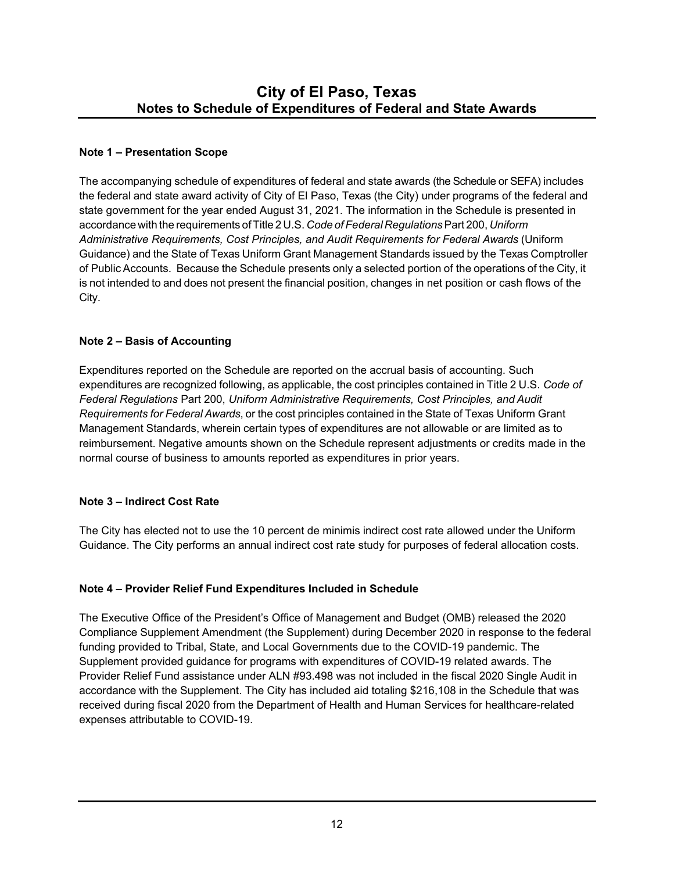## **Note 1 – Presentation Scope**

The accompanying schedule of expenditures of federal and state awards (the Schedule or SEFA) includes the federal and state award activity of City of El Paso, Texas (the City) under programs of the federal and state government for the year ended August 31, 2021. The information in the Schedule is presented in accordance with the requirements of Title 2 U.S. *Code of Federal Regulations* Part 200, *Uniform Administrative Requirements, Cost Principles, and Audit Requirements for Federal Awards* (Uniform Guidance) and the State of Texas Uniform Grant Management Standards issued by the Texas Comptroller of Public Accounts. Because the Schedule presents only a selected portion of the operations of the City, it is not intended to and does not present the financial position, changes in net position or cash flows of the City.

### **Note 2 – Basis of Accounting**

Expenditures reported on the Schedule are reported on the accrual basis of accounting. Such expenditures are recognized following, as applicable, the cost principles contained in Title 2 U.S. *Code of Federal Regulations* Part 200, *Uniform Administrative Requirements, Cost Principles, and Audit Requirements for Federal Awards*, or the cost principles contained in the State of Texas Uniform Grant Management Standards, wherein certain types of expenditures are not allowable or are limited as to reimbursement. Negative amounts shown on the Schedule represent adjustments or credits made in the normal course of business to amounts reported as expenditures in prior years.

#### **Note 3 – Indirect Cost Rate**

The City has elected not to use the 10 percent de minimis indirect cost rate allowed under the Uniform Guidance. The City performs an annual indirect cost rate study for purposes of federal allocation costs.

#### **Note 4 – Provider Relief Fund Expenditures Included in Schedule**

The Executive Office of the President's Office of Management and Budget (OMB) released the 2020 Compliance Supplement Amendment (the Supplement) during December 2020 in response to the federal funding provided to Tribal, State, and Local Governments due to the COVID-19 pandemic. The Supplement provided guidance for programs with expenditures of COVID-19 related awards. The Provider Relief Fund assistance under ALN #93.498 was not included in the fiscal 2020 Single Audit in accordance with the Supplement. The City has included aid totaling \$216,108 in the Schedule that was received during fiscal 2020 from the Department of Health and Human Services for healthcare-related expenses attributable to COVID-19.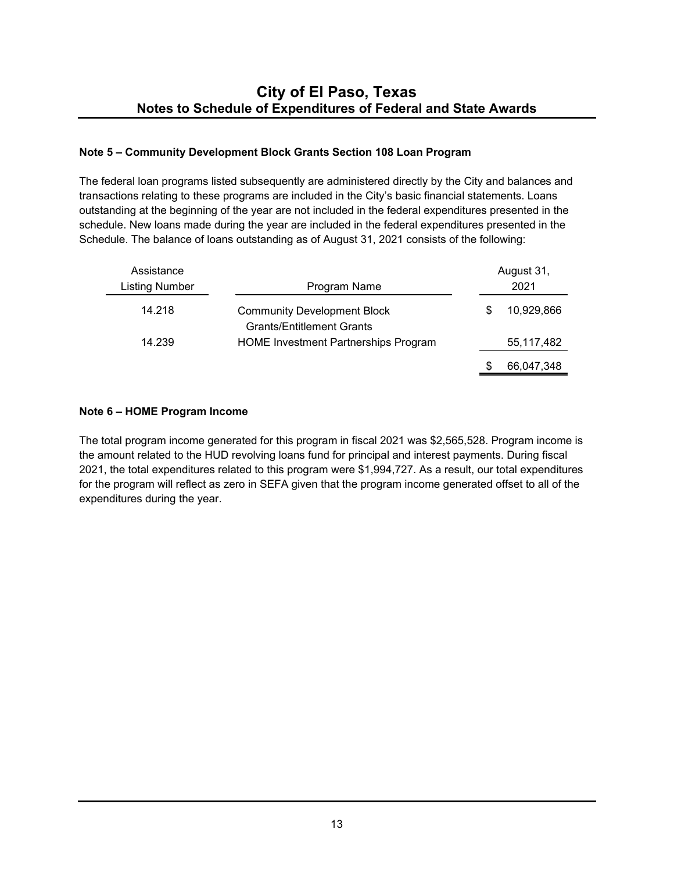## **Note 5 – Community Development Block Grants Section 108 Loan Program**

The federal loan programs listed subsequently are administered directly by the City and balances and transactions relating to these programs are included in the City's basic financial statements. Loans outstanding at the beginning of the year are not included in the federal expenditures presented in the schedule. New loans made during the year are included in the federal expenditures presented in the Schedule. The balance of loans outstanding as of August 31, 2021 consists of the following:

| Assistance<br><b>Listing Number</b> | Program Name                                                           |    | August 31,<br>2021 |
|-------------------------------------|------------------------------------------------------------------------|----|--------------------|
| 14.218                              | <b>Community Development Block</b><br><b>Grants/Entitlement Grants</b> | \$ | 10,929,866         |
| 14.239                              | <b>HOME Investment Partnerships Program</b>                            |    | 55,117,482         |
|                                     |                                                                        | S  | 66.047.348         |

## **Note 6 – HOME Program Income**

The total program income generated for this program in fiscal 2021 was \$2,565,528. Program income is the amount related to the HUD revolving loans fund for principal and interest payments. During fiscal 2021, the total expenditures related to this program were \$1,994,727. As a result, our total expenditures for the program will reflect as zero in SEFA given that the program income generated offset to all of the expenditures during the year.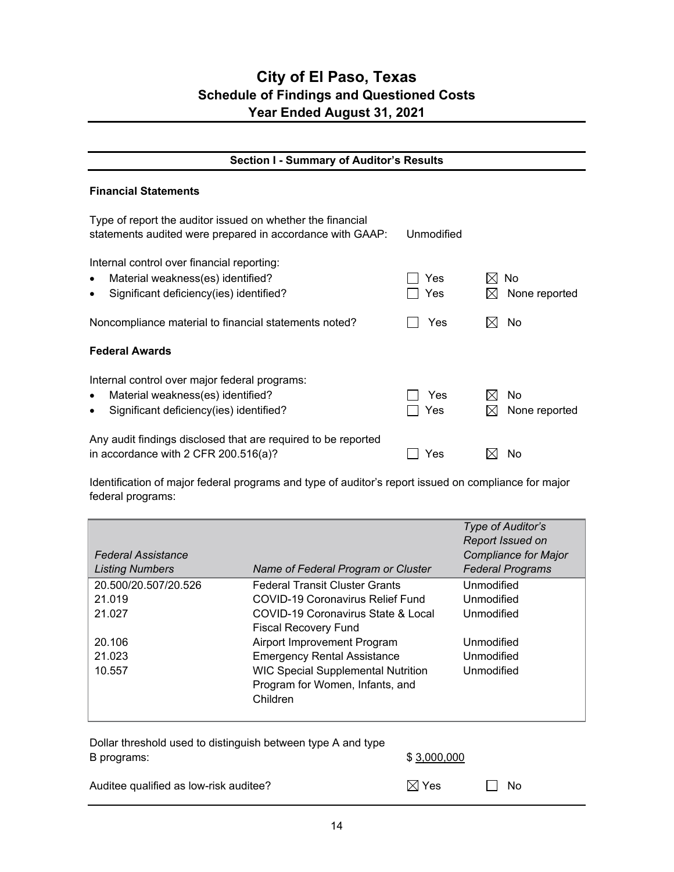## **City of El Paso, Texas Schedule of Findings and Questioned Costs Year Ended August 31, 2021**

## **Section I - Summary of Auditor's Results**

#### **Financial Statements**

| Type of report the auditor issued on whether the financial<br>statements audited were prepared in accordance with GAAP:                                 | Unmodified |                             |
|---------------------------------------------------------------------------------------------------------------------------------------------------------|------------|-----------------------------|
| Internal control over financial reporting:<br>Material weakness(es) identified?<br>$\bullet$<br>Significant deficiency(ies) identified?<br>$\bullet$    | Yes<br>Yes | No.<br>IХI<br>None reported |
| Noncompliance material to financial statements noted?                                                                                                   | Yes        | No                          |
| <b>Federal Awards</b>                                                                                                                                   |            |                             |
| Internal control over major federal programs:<br>Material weakness(es) identified?<br>$\bullet$<br>Significant deficiency(ies) identified?<br>$\bullet$ | Yes<br>Yes | No<br>None reported         |
| Any audit findings disclosed that are required to be reported<br>in accordance with 2 CFR 200.516(a)?                                                   | Yes        | No                          |

Identification of major federal programs and type of auditor's report issued on compliance for major federal programs:

| <b>Federal Assistance</b> |                                                                                          | Type of Auditor's<br>Report Issued on<br><b>Compliance for Major</b> |
|---------------------------|------------------------------------------------------------------------------------------|----------------------------------------------------------------------|
| <b>Listing Numbers</b>    | Name of Federal Program or Cluster                                                       | <b>Federal Programs</b>                                              |
| 20.500/20.507/20.526      | <b>Federal Transit Cluster Grants</b>                                                    | Unmodified                                                           |
| 21.019                    | COVID-19 Coronavirus Relief Fund                                                         | Unmodified                                                           |
| 21.027                    | COVID-19 Coronavirus State & Local<br><b>Fiscal Recovery Fund</b>                        | Unmodified                                                           |
| 20.106                    | Airport Improvement Program                                                              | Unmodified                                                           |
| 21.023                    | <b>Emergency Rental Assistance</b>                                                       | Unmodified                                                           |
| 10.557                    | <b>WIC Special Supplemental Nutrition</b><br>Program for Women, Infants, and<br>Children | Unmodified                                                           |

| Dollar threshold used to distinguish between type A and type |                 |       |
|--------------------------------------------------------------|-----------------|-------|
| B programs:                                                  | \$3,000,000     |       |
|                                                              |                 |       |
| Auditee qualified as low-risk auditee?                       | $\boxtimes$ Yes | II No |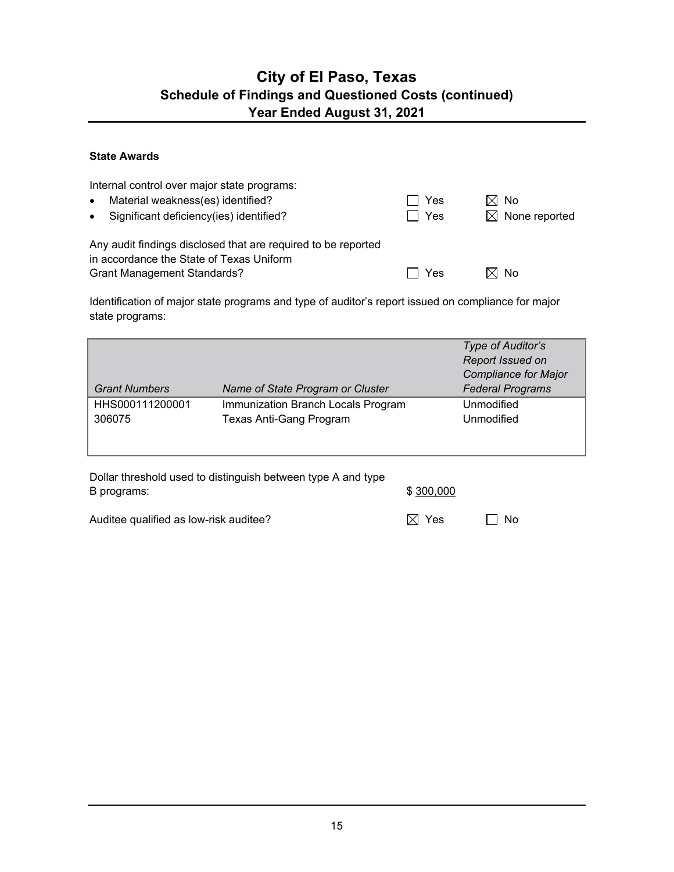## **City of El Paso, Texas Schedule of Findings and Questioned Costs (continued) Year Ended August 31, 2021**

### **State Awards**

| Internal control over major state programs:<br>Material weakness(es) identified?<br>$\bullet$<br>• Significant deficiency(ies) identified?      | $\Box$ Yes<br>Π Yes | $\boxtimes$ No<br>$\boxtimes$ None reported |
|-------------------------------------------------------------------------------------------------------------------------------------------------|---------------------|---------------------------------------------|
| Any audit findings disclosed that are required to be reported<br>in accordance the State of Texas Uniform<br><b>Grant Management Standards?</b> | Yes                 | $\boxtimes$ No                              |

Identification of major state programs and type of auditor's report issued on compliance for major state programs:

|                      |                                    | Type of Auditor's<br>Report Issued on |
|----------------------|------------------------------------|---------------------------------------|
|                      |                                    | <b>Compliance for Major</b>           |
| <b>Grant Numbers</b> | Name of State Program or Cluster   | <b>Federal Programs</b>               |
| HHS000111200001      | Immunization Branch Locals Program | Unmodified                            |
| 306075               | Texas Anti-Gang Program            | Unmodified                            |
|                      |                                    |                                       |
|                      |                                    |                                       |

| Dollar threshold used to distinguish between type A and type |           |
|--------------------------------------------------------------|-----------|
| B programs:                                                  | \$300,000 |
|                                                              |           |

Auditee qualified as low-risk auditee?  $\boxtimes$  Yes  $\Box$  No

| es<br>Y |
|---------|
|         |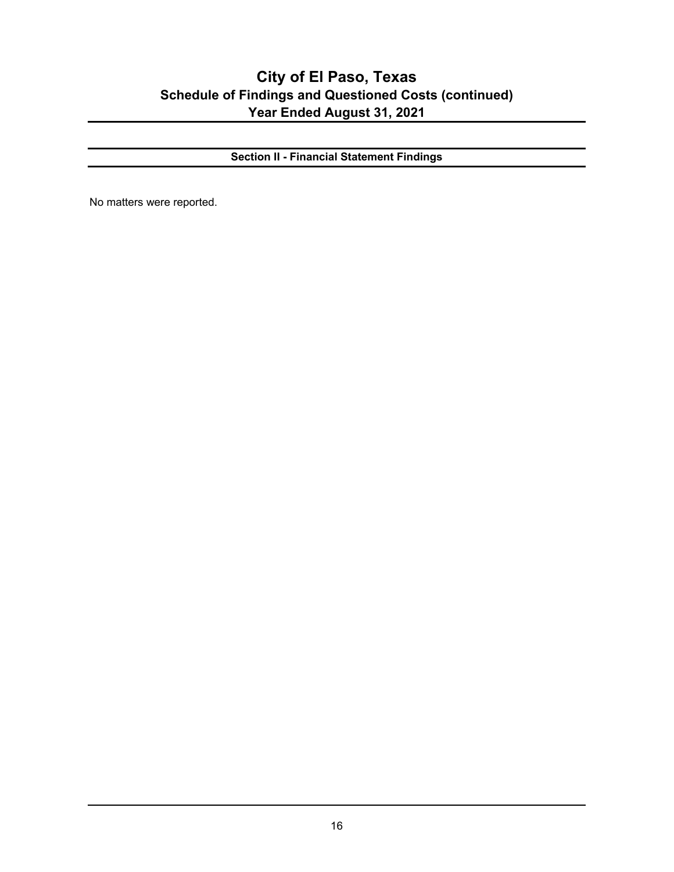## **City of El Paso, Texas Schedule of Findings and Questioned Costs (continued) Year Ended August 31, 2021**

**Section II - Financial Statement Findings** 

No matters were reported.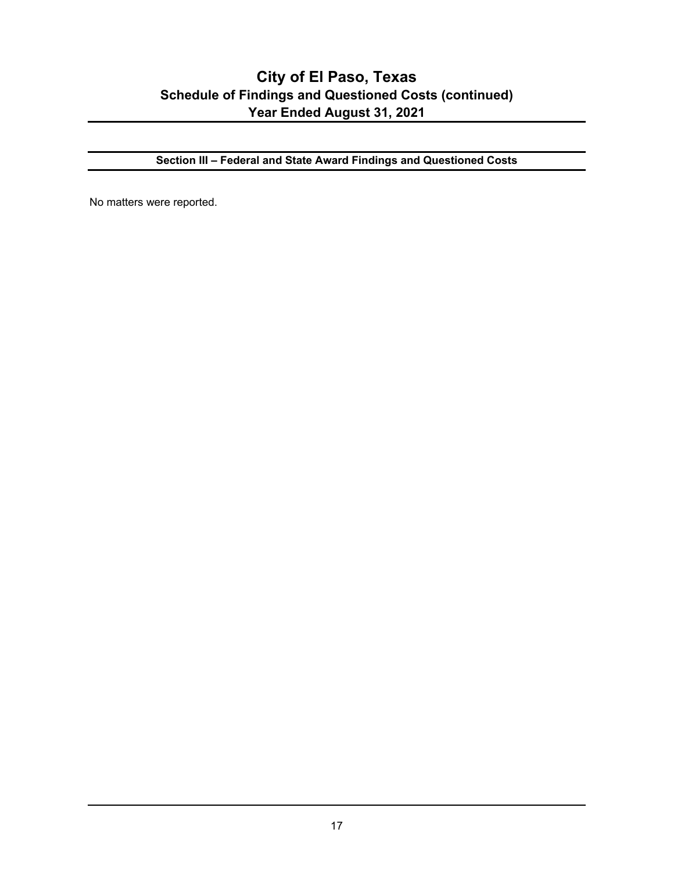## **City of El Paso, Texas Schedule of Findings and Questioned Costs (continued) Year Ended August 31, 2021**

**Section III – Federal and State Award Findings and Questioned Costs**

No matters were reported.